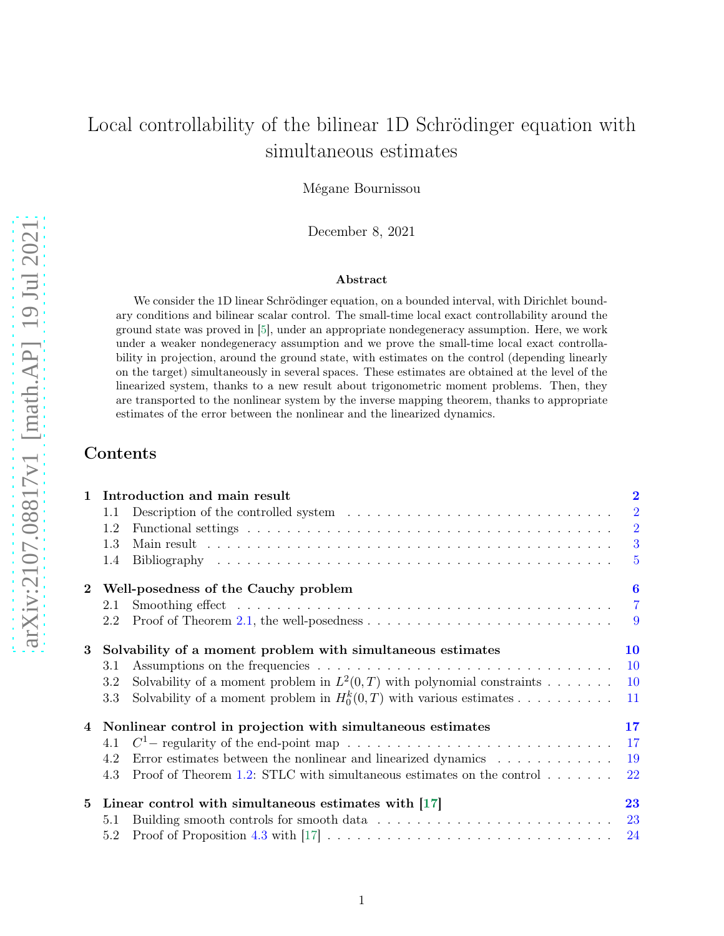# Local controllability of the bilinear 1D Schrödinger equation with simultaneous estimates

Mégane Bournissou

December 8, 2021

#### Abstract

We consider the 1D linear Schrödinger equation, on a bounded interval, with Dirichlet boundary conditions and bilinear scalar control. The small-time local exact controllability around the ground state was proved in [\[5\]](#page-27-0), under an appropriate nondegeneracy assumption. Here, we work under a weaker nondegeneracy assumption and we prove the small-time local exact controllability in projection, around the ground state, with estimates on the control (depending linearly on the target) simultaneously in several spaces. These estimates are obtained at the level of the linearized system, thanks to a new result about trigonometric moment problems. Then, they are transported to the nonlinear system by the inverse mapping theorem, thanks to appropriate estimates of the error between the nonlinear and the linearized dynamics.

### Contents

<span id="page-0-0"></span>

| $\mathbf{1}$   | Introduction and main result                                                                                        | $\overline{2}$  |
|----------------|---------------------------------------------------------------------------------------------------------------------|-----------------|
|                | 1.1                                                                                                                 | $\overline{2}$  |
|                | 1.2                                                                                                                 | $\overline{2}$  |
|                | 1.3                                                                                                                 | 3               |
|                | 1.4                                                                                                                 | $5\overline{)}$ |
| $2^{\circ}$    | Well-posedness of the Cauchy problem                                                                                | 6               |
|                | 2.1                                                                                                                 | $\overline{7}$  |
|                | Proof of Theorem 2.1, the well-posedness $\dots \dots \dots \dots \dots \dots \dots \dots \dots \dots \dots$<br>2.2 | 9               |
| 3              | Solvability of a moment problem with simultaneous estimates                                                         | 10              |
|                | 3.1                                                                                                                 | <b>10</b>       |
|                | Solvability of a moment problem in $L^2(0,T)$ with polynomial constraints<br>3.2                                    | <b>10</b>       |
|                | Solvability of a moment problem in $H_0^k(0,T)$ with various estimates<br>3.3                                       | 11              |
| $\overline{4}$ | Nonlinear control in projection with simultaneous estimates                                                         | 17              |
|                | 4.1                                                                                                                 | 17              |
|                | Error estimates between the nonlinear and linearized dynamics $\ldots \ldots \ldots \ldots$<br>4.2                  | 19              |
|                | Proof of Theorem 1.2: STLC with simultaneous estimates on the control $\dots \dots$<br>4.3                          | 22              |
| 5              | Linear control with simultaneous estimates with $[17]$                                                              | 23              |
|                | 5.1                                                                                                                 |                 |
|                | 5.2                                                                                                                 |                 |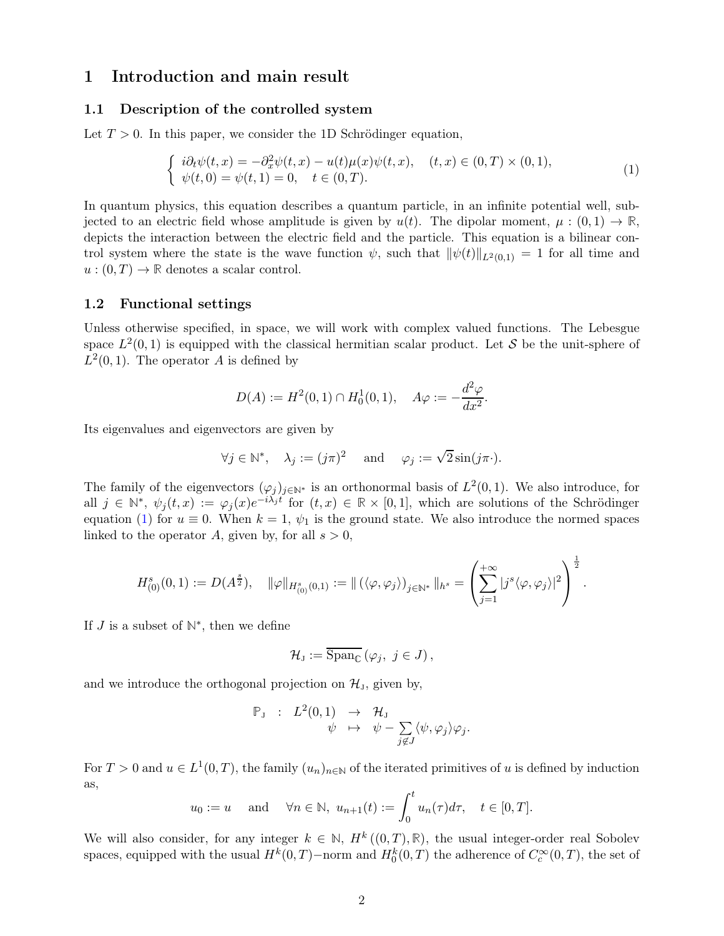### 1 Introduction and main result

#### <span id="page-1-0"></span>1.1 Description of the controlled system

Let  $T > 0$ . In this paper, we consider the 1D Schrödinger equation,

<span id="page-1-2"></span>
$$
\begin{cases}\n i\partial_t \psi(t,x) = -\partial_x^2 \psi(t,x) - u(t)\mu(x)\psi(t,x), & (t,x) \in (0,T) \times (0,1), \\
 \psi(t,0) = \psi(t,1) = 0, & t \in (0,T).\n\end{cases}
$$
\n(1)

In quantum physics, this equation describes a quantum particle, in an infinite potential well, subjected to an electric field whose amplitude is given by  $u(t)$ . The dipolar moment,  $\mu : (0,1) \to \mathbb{R}$ , depicts the interaction between the electric field and the particle. This equation is a bilinear control system where the state is the wave function  $\psi$ , such that  $\|\psi(t)\|_{L^2(0,1)} = 1$  for all time and  $u:(0,T)\to\mathbb{R}$  denotes a scalar control.

#### <span id="page-1-1"></span>1.2 Functional settings

Unless otherwise specified, in space, we will work with complex valued functions. The Lebesgue space  $L^2(0,1)$  is equipped with the classical hermitian scalar product. Let S be the unit-sphere of  $L^2(0,1)$ . The operator A is defined by

$$
D(A) := H^{2}(0, 1) \cap H^{1}(0, 1), \quad A\varphi := -\frac{d^{2}\varphi}{dx^{2}}.
$$

Its eigenvalues and eigenvectors are given by

$$
\forall j \in \mathbb{N}^*, \quad \lambda_j := (j\pi)^2 \quad \text{and} \quad \varphi_j := \sqrt{2}\sin(j\pi \cdot).
$$

The family of the eigenvectors  $(\varphi_j)_{j\in\mathbb{N}^*}$  is an orthonormal basis of  $L^2(0,1)$ . We also introduce, for all  $j \in \mathbb{N}^*, \psi_j(t,x) := \varphi_j(x) e^{-i \lambda_j t}$  for  $(t,x) \in \mathbb{R} \times [0,1]$ , which are solutions of the Schrödinger equation [\(1\)](#page-1-2) for  $u \equiv 0$ . When  $k = 1$ ,  $\psi_1$  is the ground state. We also introduce the normed spaces linked to the operator A, given by, for all  $s > 0$ ,

$$
H^s_{(0)}(0,1) := D(A^{\frac{s}{2}}), \quad \|\varphi\|_{H^s_{(0)}(0,1)} := \|\left(\langle \varphi, \varphi_j \rangle\right)_{j \in \mathbb{N}^*} \|_{h^s} = \left(\sum_{j=1}^{+\infty} |j^s \langle \varphi, \varphi_j \rangle|^2\right)^{\frac{1}{2}}.
$$

If  $J$  is a subset of  $\mathbb{N}^*$ , then we define

$$
\mathcal{H}_{\mathrm{J}} := \overline{\mathrm{Span}_{\mathbb{C}}} \left( \varphi_j, \ j \in J \right),\,
$$

and we introduce the orthogonal projection on  $\mathcal{H}_J$ , given by,

$$
\mathbb{P}_{\mathrm{J}} \ : \ L^{2}(0,1) \ \to \ \mathcal{H}_{\mathrm{J}} \\ \psi \ \mapsto \ \psi - \sum_{j \notin J} \langle \psi, \varphi_{j} \rangle \varphi_{j}.
$$

For  $T > 0$  and  $u \in L^1(0,T)$ , the family  $(u_n)_{n \in \mathbb{N}}$  of the iterated primitives of u is defined by induction as,

$$
u_0 := u
$$
 and  $\forall n \in \mathbb{N}, u_{n+1}(t) := \int_0^t u_n(\tau) d\tau$ ,  $t \in [0, T]$ .

We will also consider, for any integer  $k \in \mathbb{N}$ ,  $H^k((0,T), \mathbb{R})$ , the usual integer-order real Sobolev spaces, equipped with the usual  $H^k(0,T)$ –norm and  $H^k_0(0,T)$  the adherence of  $C_c^{\infty}(0,T)$ , the set of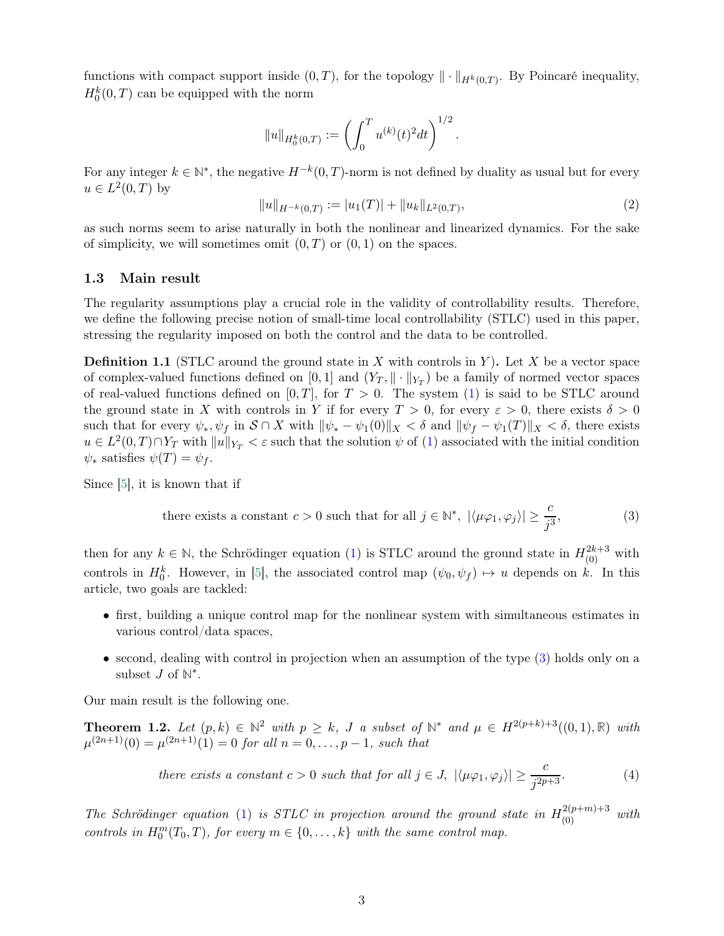functions with compact support inside  $(0, T)$ , for the topology  $\|\cdot\|_{H^k(0,T)}$ . By Poincaré inequality,  $H_0^k(0,T)$  can be equipped with the norm

$$
||u||_{H_0^k(0,T)} := \left(\int_0^T u^{(k)}(t)^2 dt\right)^{1/2}
$$

For any integer  $k \in \mathbb{N}^*$ , the negative  $H^{-k}(0,T)$ -norm is not defined by duality as usual but for every  $u \in L^2(0,T)$  by

<span id="page-2-4"></span>
$$
||u||_{H^{-k}(0,T)} := |u_1(T)| + ||u_k||_{L^2(0,T)},
$$
\n(2)

.

<span id="page-2-0"></span>as such norms seem to arise naturally in both the nonlinear and linearized dynamics. For the sake of simplicity, we will sometimes omit  $(0, T)$  or  $(0, 1)$  on the spaces.

#### 1.3 Main result

The regularity assumptions play a crucial role in the validity of controllability results. Therefore, we define the following precise notion of small-time local controllability (STLC) used in this paper, stressing the regularity imposed on both the control and the data to be controlled.

**Definition 1.1** (STLC around the ground state in X with controls in Y). Let X be a vector space of complex-valued functions defined on  $[0,1]$  and  $(Y_T, \|\cdot\|_{Y_T})$  be a family of normed vector spaces of real-valued functions defined on  $[0, T]$ , for  $T > 0$ . The system [\(1\)](#page-1-2) is said to be STLC around the ground state in X with controls in Y if for every  $T > 0$ , for every  $\varepsilon > 0$ , there exists  $\delta > 0$ such that for every  $\psi_*, \psi_f$  in  $S \cap X$  with  $\|\psi_* - \psi_1(0)\|_X < \delta$  and  $\|\psi_f - \psi_1(T)\|_X < \delta$ , there exists  $u \in L^2(0,T) \cap Y_T$  with  $||u||_{Y_T} < \varepsilon$  such that the solution  $\psi$  of [\(1\)](#page-1-2) associated with the initial condition  $\psi_*$  satisfies  $\psi(T) = \psi_f$ .

Since [\[5\]](#page-27-0), it is known that if

<span id="page-2-2"></span>there exists a constant 
$$
c > 0
$$
 such that for all  $j \in \mathbb{N}^*$ ,  $|\langle \mu \varphi_1, \varphi_j \rangle| \ge \frac{c}{j^3}$ , (3)

then for any  $k \in \mathbb{N}$ , the Schrödinger equation [\(1\)](#page-1-2) is STLC around the ground state in  $H_{(0)}^{2k+3}$  with controls in  $H_0^k$ . However, in [\[5\]](#page-27-0), the associated control map  $(\psi_0, \psi_f) \mapsto u$  depends on k. In this article, two goals are tackled:

- first, building a unique control map for the nonlinear system with simultaneous estimates in various control/data spaces,
- second, dealing with control in projection when an assumption of the type [\(3\)](#page-2-2) holds only on a subset  $J$  of  $\mathbb{N}^*$ .

<span id="page-2-1"></span>Our main result is the following one.

**Theorem 1.2.** Let  $(p, k) \in \mathbb{N}^2$  with  $p \geq k$ , J a subset of  $\mathbb{N}^*$  and  $\mu \in H^{2(p+k)+3}((0, 1), \mathbb{R})$  with  $\mu^{(2n+1)}(0) = \mu^{(2n+1)}(1) = 0$  for all  $n = 0, \ldots, p-1$ , such that

<span id="page-2-3"></span>there exists a constant 
$$
c > 0
$$
 such that for all  $j \in J$ ,  $|\langle \mu \varphi_1, \varphi_j \rangle| \ge \frac{c}{j^{2p+3}}$ . (4)

The Schrödinger equation [\(1\)](#page-1-2) is STLC in projection around the ground state in  $H_{(0)}^{2(p+m)+3}$  with controls in  $H_0^m(T_0,T)$ , for every  $m \in \{0,\ldots,k\}$  with the same control map.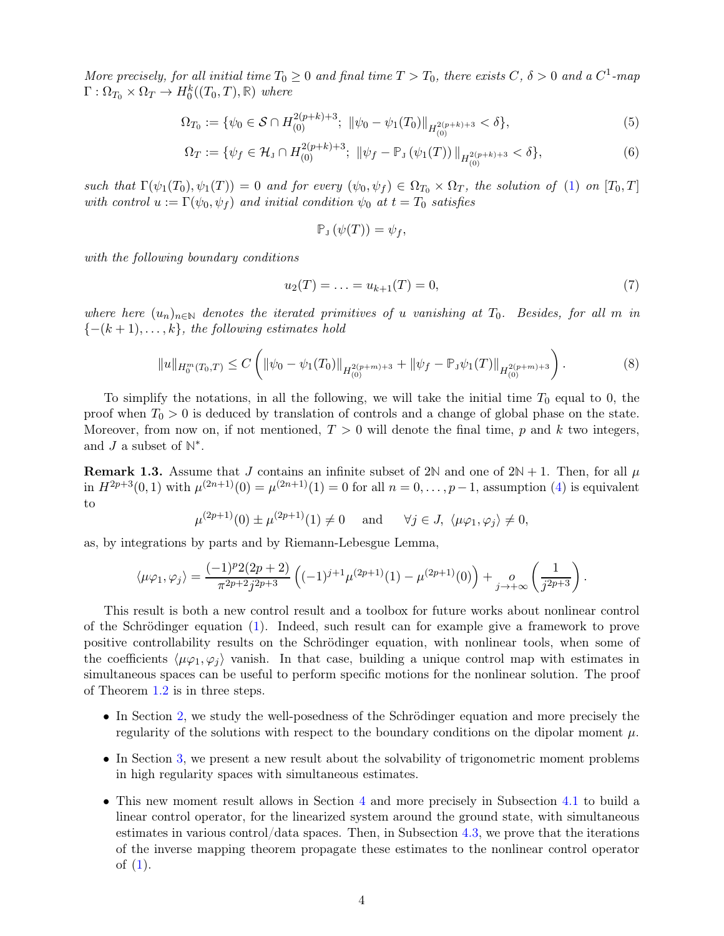More precisely, for all initial time  $T_0 \ge 0$  and final time  $T > T_0$ , there exists  $C, \delta > 0$  and a  $C^1$ -map  $\Gamma: \Omega_{T_0} \times \Omega_T \to H_0^k((T_0, T), \mathbb{R})$  where

$$
\Omega_{T_0} := \{ \psi_0 \in \mathcal{S} \cap H^{2(p+k)+3}_{(0)}; \ \|\psi_0 - \psi_1(T_0)\|_{H^{2(p+k)+3}_{(0)}} < \delta \},\tag{5}
$$

$$
\Omega_T := \{ \psi_f \in \mathcal{H}_J \cap H^{2(p+k)+3}_{(0)}; \ \|\psi_f - \mathbb{P}_J \left( \psi_1(T) \right) \|_{H^{2(p+k)+3}_{(0)}} < \delta \},\tag{6}
$$

such that  $\Gamma(\psi_1(T_0), \psi_1(T)) = 0$  and for every  $(\psi_0, \psi_f) \in \Omega_{T_0} \times \Omega_T$ , the solution of [\(1\)](#page-1-2) on  $[T_0, T]$ with control  $u := \Gamma(\psi_0, \psi_f)$  and initial condition  $\psi_0$  at  $t = T_0$  satisfies

<span id="page-3-2"></span><span id="page-3-1"></span>
$$
\mathbb{P}_{J}(\psi(T))=\psi_{f},
$$

with the following boundary conditions

<span id="page-3-3"></span>
$$
u_2(T) = \ldots = u_{k+1}(T) = 0,\t\t(7)
$$

where here  $(u_n)_{n\in\mathbb{N}}$  denotes the iterated primitives of u vanishing at  $T_0$ . Besides, for all m in  ${-(k+1), \ldots, k}$ , the following estimates hold

<span id="page-3-0"></span>
$$
||u||_{H_0^m(T_0,T)} \le C \left( ||\psi_0 - \psi_1(T_0)||_{H_{(0)}^{2(p+m)+3}} + ||\psi_f - \mathbb{P}_\mathfrak{J}\psi_1(T)||_{H_{(0)}^{2(p+m)+3}} \right). \tag{8}
$$

To simplify the notations, in all the following, we will take the initial time  $T_0$  equal to 0, the proof when  $T_0 > 0$  is deduced by translation of controls and a change of global phase on the state. Moreover, from now on, if not mentioned,  $T > 0$  will denote the final time, p and k two integers, and  $J$  a subset of  $\mathbb{N}^*$ .

**Remark 1.3.** Assume that J contains an infinite subset of 2N and one of  $2N + 1$ . Then, for all  $\mu$ in  $H^{2p+3}(0,1)$  with  $\mu^{(2n+1)}(0) = \mu^{(2n+1)}(1) = 0$  for all  $n = 0, \ldots, p-1$ , assumption [\(4\)](#page-2-3) is equivalent to

$$
\mu^{(2p+1)}(0) \pm \mu^{(2p+1)}(1) \neq 0 \quad \text{and} \quad \forall j \in J, \ \langle \mu \varphi_1, \varphi_j \rangle \neq 0,
$$

as, by integrations by parts and by Riemann-Lebesgue Lemma,

$$
\langle \mu \varphi_1, \varphi_j \rangle = \frac{(-1)^p 2(2p+2)}{\pi^{2p+2} j^{2p+3}} \left( (-1)^{j+1} \mu^{(2p+1)}(1) - \mu^{(2p+1)}(0) \right) + \lim_{j \to +\infty} \left( \frac{1}{j^{2p+3}} \right).
$$

This result is both a new control result and a toolbox for future works about nonlinear control of the Schrödinger equation [\(1\)](#page-1-2). Indeed, such result can for example give a framework to prove positive controllability results on the Schrödinger equation, with nonlinear tools, when some of the coefficients  $\langle \mu \varphi_1, \varphi_i \rangle$  vanish. In that case, building a unique control map with estimates in simultaneous spaces can be useful to perform specific motions for the nonlinear solution. The proof of Theorem [1.2](#page-2-1) is in three steps.

- In Section [2,](#page-5-0) we study the well-posedness of the Schrödinger equation and more precisely the regularity of the solutions with respect to the boundary conditions on the dipolar moment  $\mu$ .
- In Section [3,](#page-9-0) we present a new result about the solvability of trigonometric moment problems in high regularity spaces with simultaneous estimates.
- This new moment result allows in Section [4](#page-16-0) and more precisely in Subsection [4.1](#page-16-1) to build a linear control operator, for the linearized system around the ground state, with simultaneous estimates in various control/data spaces. Then, in Subsection [4.3,](#page-21-0) we prove that the iterations of the inverse mapping theorem propagate these estimates to the nonlinear control operator of [\(1\)](#page-1-2).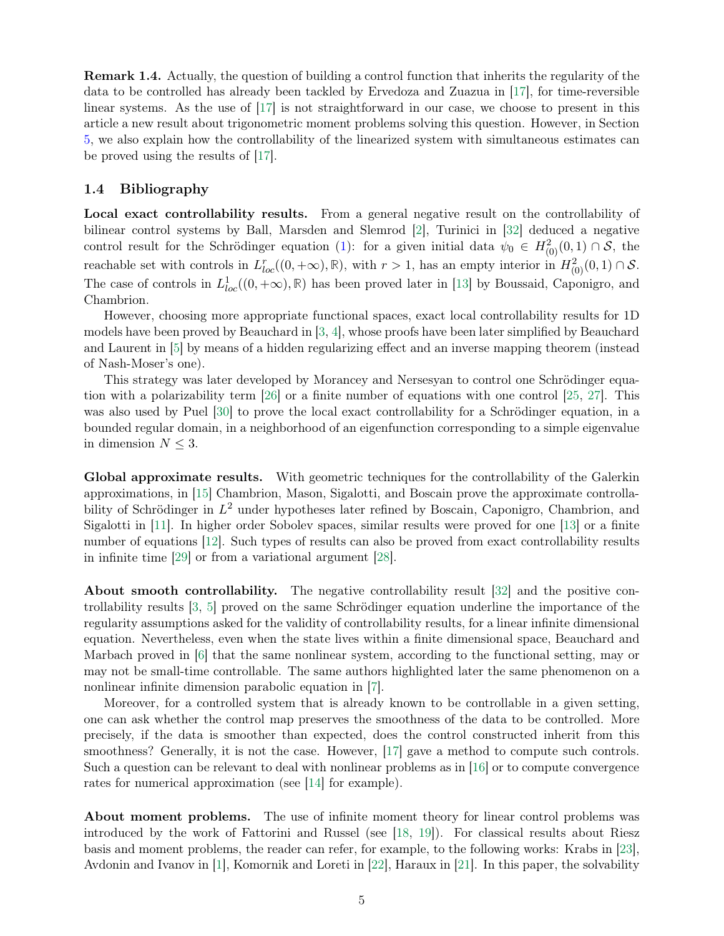Remark 1.4. Actually, the question of building a control function that inherits the regularity of the data to be controlled has already been tackled by Ervedoza and Zuazua in [\[17\]](#page-28-0), for time-reversible linear systems. As the use of [\[17\]](#page-28-0) is not straightforward in our case, we choose to present in this article a new result about trigonometric moment problems solving this question. However, in Section [5,](#page-22-0) we also explain how the controllability of the linearized system with simultaneous estimates can be proved using the results of [\[17\]](#page-28-0).

#### <span id="page-4-0"></span>1.4 Bibliography

Local exact controllability results. From a general negative result on the controllability of bilinear control systems by Ball, Marsden and Slemrod [\[2\]](#page-27-1), Turinici in [\[32\]](#page-29-0) deduced a negative control result for the Schrödinger equation [\(1\)](#page-1-2): for a given initial data  $\psi_0 \in H^2_{(0)}(0,1) \cap S$ , the reachable set with controls in  $L_{loc}^r((0, +\infty), \mathbb{R})$ , with  $r > 1$ , has an empty interior in  $H^2_{(0)}(0, 1) \cap S$ . The case of controls in  $L_{loc}^1((0, +\infty), \mathbb{R})$  has been proved later in [\[13\]](#page-28-1) by Boussaid, Caponigro, and Chambrion.

However, choosing more appropriate functional spaces, exact local controllability results for 1D models have been proved by Beauchard in [\[3,](#page-27-2) [4\]](#page-27-3), whose proofs have been later simplified by Beauchard and Laurent in [\[5\]](#page-27-0) by means of a hidden regularizing effect and an inverse mapping theorem (instead of Nash-Moser's one).

This strategy was later developed by Morancey and Nersesyan to control one Schrödinger equation with a polarizability term [\[26\]](#page-29-1) or a finite number of equations with one control [\[25,](#page-29-2) [27\]](#page-29-3). This was also used by Puel [\[30\]](#page-29-4) to prove the local exact controllability for a Schrödinger equation, in a bounded regular domain, in a neighborhood of an eigenfunction corresponding to a simple eigenvalue in dimension  $N \leq 3$ .

Global approximate results. With geometric techniques for the controllability of the Galerkin approximations, in [\[15\]](#page-28-2) Chambrion, Mason, Sigalotti, and Boscain prove the approximate controllability of Schrödinger in  $L^2$  under hypotheses later refined by Boscain, Caponigro, Chambrion, and Sigalotti in [\[11\]](#page-28-3). In higher order Sobolev spaces, similar results were proved for one [\[13\]](#page-28-1) or a finite number of equations [\[12\]](#page-28-4). Such types of results can also be proved from exact controllability results in infinite time [\[29\]](#page-29-5) or from a variational argument [\[28\]](#page-29-6).

About smooth controllability. The negative controllability result [\[32\]](#page-29-0) and the positive controllability results [\[3,](#page-27-2) [5\]](#page-27-0) proved on the same Schrödinger equation underline the importance of the regularity assumptions asked for the validity of controllability results, for a linear infinite dimensional equation. Nevertheless, even when the state lives within a finite dimensional space, Beauchard and Marbach proved in [\[6\]](#page-27-4) that the same nonlinear system, according to the functional setting, may or may not be small-time controllable. The same authors highlighted later the same phenomenon on a nonlinear infinite dimension parabolic equation in [\[7\]](#page-27-5).

Moreover, for a controlled system that is already known to be controllable in a given setting, one can ask whether the control map preserves the smoothness of the data to be controlled. More precisely, if the data is smoother than expected, does the control constructed inherit from this smoothness? Generally, it is not the case. However, [\[17\]](#page-28-0) gave a method to compute such controls. Such a question can be relevant to deal with nonlinear problems as in [\[16\]](#page-28-5) or to compute convergence rates for numerical approximation (see [\[14\]](#page-28-6) for example).

About moment problems. The use of infinite moment theory for linear control problems was introduced by the work of Fattorini and Russel (see [\[18,](#page-28-7) [19\]](#page-28-8)). For classical results about Riesz basis and moment problems, the reader can refer, for example, to the following works: Krabs in [\[23\]](#page-28-9), Avdonin and Ivanov in [\[1\]](#page-27-6), Komornik and Loreti in [\[22\]](#page-28-10), Haraux in [\[21\]](#page-28-11). In this paper, the solvability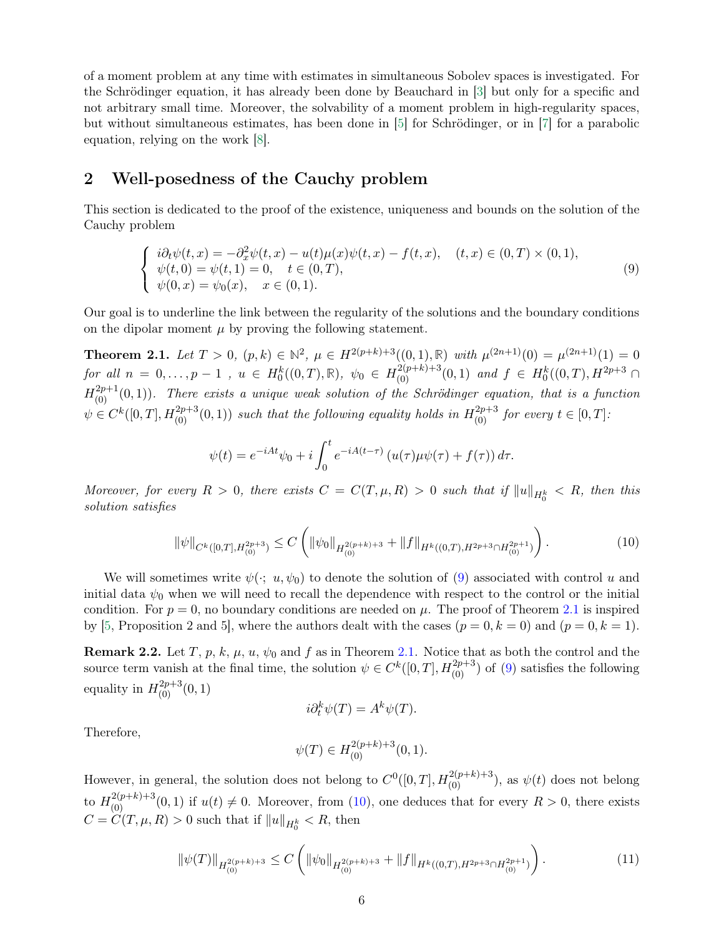of a moment problem at any time with estimates in simultaneous Sobolev spaces is investigated. For the Schrödinger equation, it has already been done by Beauchard in [\[3\]](#page-27-2) but only for a specific and not arbitrary small time. Moreover, the solvability of a moment problem in high-regularity spaces, but without simultaneous estimates, has been done in [\[5\]](#page-27-0) for Schrödinger, or in [\[7\]](#page-27-5) for a parabolic equation, relying on the work [\[8\]](#page-27-7).

### <span id="page-5-0"></span>2 Well-posedness of the Cauchy problem

This section is dedicated to the proof of the existence, uniqueness and bounds on the solution of the Cauchy problem

<span id="page-5-3"></span>
$$
\begin{cases}\n i\partial_t \psi(t,x) = -\partial_x^2 \psi(t,x) - u(t)\mu(x)\psi(t,x) - f(t,x), & (t,x) \in (0,T) \times (0,1), \\
 \psi(t,0) = \psi(t,1) = 0, & t \in (0,T), \\
 \psi(0,x) = \psi_0(x), & x \in (0,1).\n\end{cases}
$$
\n(9)

<span id="page-5-2"></span>Our goal is to underline the link between the regularity of the solutions and the boundary conditions on the dipolar moment  $\mu$  by proving the following statement.

**Theorem 2.1.** Let  $T > 0$ ,  $(p, k) \in \mathbb{N}^2$ ,  $\mu \in H^{2(p+k)+3}((0, 1), \mathbb{R})$  with  $\mu^{(2n+1)}(0) = \mu^{(2n+1)}(1) = 0$ for all  $n = 0, \ldots, p - 1$ ,  $u \in H_0^k((0,T), \mathbb{R})$ ,  $\psi_0 \in H_{(0)}^{2(p+k)+3}(0,1)$  and  $f \in H_0^k((0,T), H^{2p+3} \cap$  $H^{2p+1}_{(0)}(0,1)$ ). There exists a unique weak solution of the Schrödinger equation, that is a function  $\psi \in C^{k}([0,T], H_{(0)}^{2p+3}(0,1))$  such that the following equality holds in  $H_{(0)}^{2p+3}$  for every  $t \in [0,T]$ :

$$
\psi(t) = e^{-iAt}\psi_0 + i\int_0^t e^{-iA(t-\tau)}\left(u(\tau)\mu\psi(\tau) + f(\tau)\right)d\tau.
$$

Moreover, for every  $R > 0$ , there exists  $C = C(T, \mu, R) > 0$  such that if  $||u||_{H_0^k} < R$ , then this solution satisfies

<span id="page-5-4"></span>
$$
\|\psi\|_{C^k([0,T],H^{2p+3}_{(0)})} \le C \left( \|\psi_0\|_{H^{2(p+k)+3}_{(0)}} + \|f\|_{H^k((0,T),H^{2p+3}\cap H^{2p+1}_{(0)})} \right). \tag{10}
$$

We will sometimes write  $\psi(\cdot; u, \psi_0)$  to denote the solution of [\(9\)](#page-5-3) associated with control u and initial data  $\psi_0$  when we will need to recall the dependence with respect to the control or the initial condition. For  $p = 0$ , no boundary conditions are needed on  $\mu$ . The proof of Theorem [2.1](#page-5-2) is inspired by [\[5,](#page-27-0) Proposition 2 and 5], where the authors dealt with the cases  $(p = 0, k = 0)$  and  $(p = 0, k = 1)$ .

<span id="page-5-5"></span>Remark 2.2. Let T, p, k,  $\mu$ ,  $u$ ,  $\psi_0$  and f as in Theorem [2.1.](#page-5-2) Notice that as both the control and the source term vanish at the final time, the solution  $\psi \in C^k([0,T], H^{2p+3}_{(0)})$  of [\(9\)](#page-5-3) satisfies the following equality in  $H^{2p+3}_{(0)}(0,1)$ 

$$
i\partial_t^k \psi(T) = A^k \psi(T).
$$

Therefore,

$$
\psi(T)\in H^{2(p+k)+3}_{(0)}(0,1).
$$

However, in general, the solution does not belong to  $C^0([0,T], H_{(0)}^{2(p+k)+3})$ , as  $\psi(t)$  does not belong to  $H^{2(p+k)+3}_{(0)}(0,1)$  if  $u(t) \neq 0$ . Moreover, from [\(10\)](#page-5-4), one deduces that for every  $R > 0$ , there exists  $C = C(T, \mu, R) > 0$  such that if  $||u||_{H_0^k} < R$ , then

<span id="page-5-6"></span><span id="page-5-1"></span>
$$
\|\psi(T)\|_{H^{2(p+k)+3}_{(0)}} \le C \left( \|\psi_0\|_{H^{2(p+k)+3}_{(0)}} + \|f\|_{H^k((0,T),H^{2p+3}\cap H^{2p+1}_{(0)})} \right). \tag{11}
$$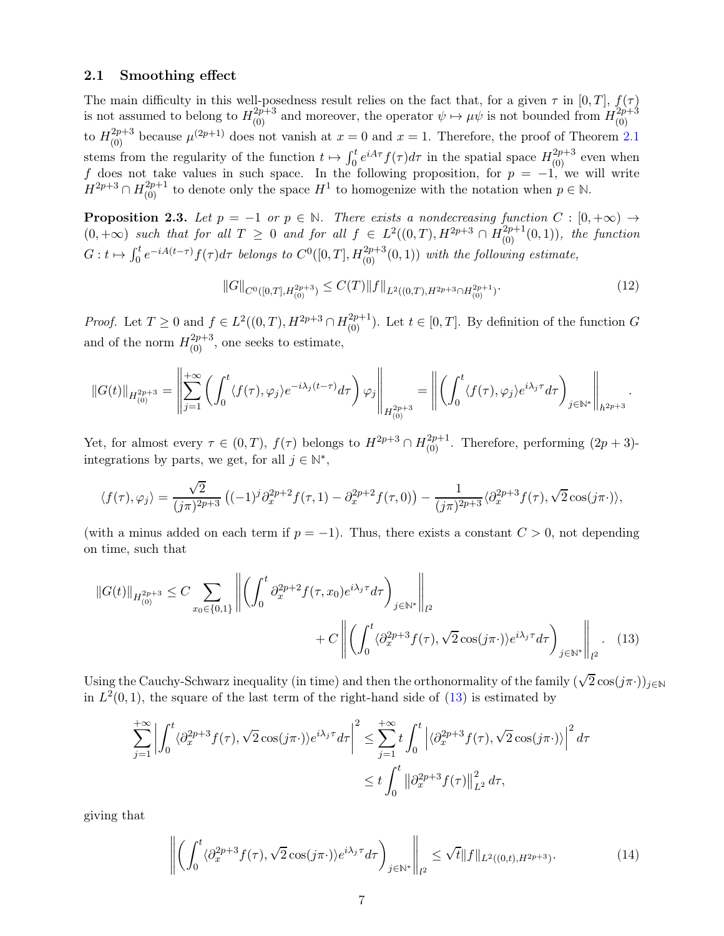#### 2.1 Smoothing effect

The main difficulty in this well-posedness result relies on the fact that, for a given  $\tau$  in [0, T],  $f(\tau)$ is not assumed to belong to  $H_{(0)}^{2p+3}$  and moreover, the operator  $\psi \mapsto \mu \psi$  is not bounded from  $H_{(0)}^{2p+3}$ (0) to  $H_{(0)}^{2p+3}$  because  $\mu^{(2p+1)}$  does not vanish at  $x=0$  and  $x=1$ . Therefore, the proof of Theorem [2.1](#page-5-2) stems from the regularity of the function  $t \mapsto \int_0^t e^{iA\tau} f(\tau) d\tau$  in the spatial space  $H_{(0)}^{2p+3}$  even when f does not take values in such space. In the following proposition, for  $p = -1$ , we will write  $H^{2p+3} \cap H^{2p+1}_{(0)}$  to denote only the space  $H^1$  to homogenize with the notation when  $p \in \mathbb{N}$ .

<span id="page-6-2"></span>**Proposition 2.3.** Let  $p = -1$  or  $p \in \mathbb{N}$ . There exists a nondecreasing function  $C : [0, +\infty) \rightarrow$  $(0, +\infty)$  such that for all  $T \geq 0$  and for all  $f \in L^2((0,T), H^{2p+3} \cap H^{2p+1}_{(0)}(0,1)),$  the function  $G: t \mapsto \int_0^t e^{-iA(t-\tau)} f(\tau) d\tau$  belongs to  $C^0([0,T], H_{(0)}^{2p+3}(0,1))$  with the following estimate,

$$
||G||_{C^{0}([0,T],H_{(0)}^{2p+3})} \leq C(T)||f||_{L^{2}((0,T),H^{2p+3}\cap H_{(0)}^{2p+1})}.
$$
\n(12)

*Proof.* Let  $T \geq 0$  and  $f \in L^2((0,T), H^{2p+3} \cap H^{2p+1}_{(0)})$ . Let  $t \in [0,T]$ . By definition of the function G and of the norm  $H^{2p+3}_{(0)}$ , one seeks to estimate,

$$
\|G(t)\|_{H^{2p+3}_{(0)}}=\left\|\sum_{j=1}^{+\infty}\left(\int_0^t\langle f(\tau),\varphi_j\rangle e^{-i\lambda_j(t-\tau)}d\tau\right)\varphi_j\right\|_{H^{2p+3}_{(0)}}=\left\|\left(\int_0^t\langle f(\tau),\varphi_j\rangle e^{i\lambda_j\tau}d\tau\right)_{j\in\mathbb{N}^*}\right\|_{h^{2p+3}}.
$$

Yet, for almost every  $\tau \in (0,T)$ ,  $f(\tau)$  belongs to  $H^{2p+3} \cap H^{2p+1}_{(0)}$ . Therefore, performing  $(2p+3)$ integrations by parts, we get, for all  $j \in \mathbb{N}^*$ ,

$$
\langle f(\tau),\varphi_j\rangle=\frac{\sqrt{2}}{(j\pi)^{2p+3}}\left((-1)^j\partial_x^{2p+2}f(\tau,1)-\partial_x^{2p+2}f(\tau,0)\right)-\frac{1}{(j\pi)^{2p+3}}\langle\partial_x^{2p+3}f(\tau),\sqrt{2}\cos(j\pi\cdot)\rangle,
$$

(with a minus added on each term if  $p = -1$ ). Thus, there exists a constant  $C > 0$ , not depending on time, such that

$$
||G(t)||_{H_{(0)}^{2p+3}} \leq C \sum_{x_0 \in \{0,1\}} \left\| \left( \int_0^t \partial_x^{2p+2} f(\tau, x_0) e^{i\lambda_j \tau} d\tau \right)_{j \in \mathbb{N}^*} \right\|_{l^2} + C \left\| \left( \int_0^t \langle \partial_x^{2p+3} f(\tau), \sqrt{2} \cos(j\pi \cdot) \rangle e^{i\lambda_j \tau} d\tau \right)_{j \in \mathbb{N}^*} \right\|_{l^2}.
$$
 (13)

Using the Cauchy-Schwarz inequality (in time) and then the orthonormality of the family  $(\sqrt{2}\cos(j\pi\cdot))_{j\in\mathbb{N}}$ in  $L^2(0,1)$ , the square of the last term of the right-hand side of  $(13)$  is estimated by

<span id="page-6-0"></span>
$$
\sum_{j=1}^{+\infty} \left| \int_0^t \langle \partial_x^{2p+3} f(\tau), \sqrt{2} \cos(j\pi \cdot) \rangle e^{i\lambda_j \tau} d\tau \right|^2 \le \sum_{j=1}^{+\infty} t \int_0^t \left| \langle \partial_x^{2p+3} f(\tau), \sqrt{2} \cos(j\pi \cdot) \rangle \right|^2 d\tau
$$
  

$$
\le t \int_0^t \left| \partial_x^{2p+3} f(\tau) \right|_{L^2}^2 d\tau,
$$

giving that

<span id="page-6-1"></span>
$$
\left\| \left( \int_0^t \langle \partial_x^{2p+3} f(\tau), \sqrt{2} \cos(j\pi \cdot) \rangle e^{i\lambda_j \tau} d\tau \right)_{j \in \mathbb{N}^*} \right\|_{l^2} \le \sqrt{t} \| f \|_{L^2((0,t), H^{2p+3})}.
$$
 (14)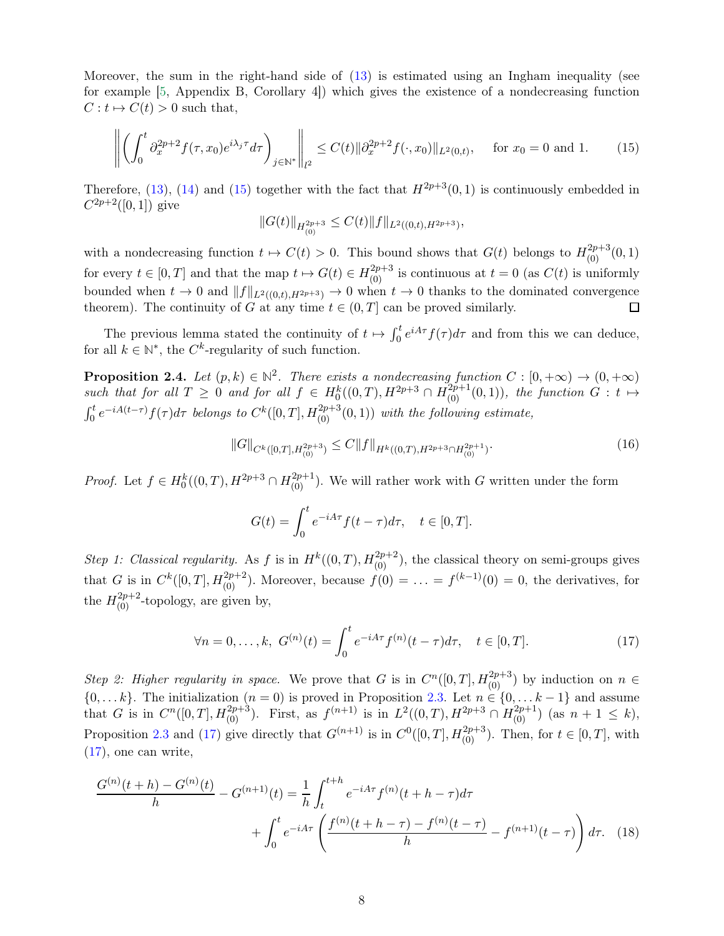Moreover, the sum in the right-hand side of [\(13\)](#page-6-0) is estimated using an Ingham inequality (see for example [\[5,](#page-27-0) Appendix B, Corollary 4]) which gives the existence of a nondecreasing function  $C: t \mapsto C(t) > 0$  such that,

<span id="page-7-0"></span>
$$
\left\| \left( \int_0^t \partial_x^{2p+2} f(\tau, x_0) e^{i\lambda_j \tau} d\tau \right)_{j \in \mathbb{N}^*} \right\|_{l^2} \le C(t) \|\partial_x^{2p+2} f(\cdot, x_0)\|_{L^2(0, t)}, \quad \text{for } x_0 = 0 \text{ and } 1. \tag{15}
$$

Therefore, [\(13\)](#page-6-0), [\(14\)](#page-6-1) and [\(15\)](#page-7-0) together with the fact that  $H^{2p+3}(0,1)$  is continuously embedded in  $C^{2p+2}([0,1])$  give

$$
||G(t)||_{H^{2p+3}_{(0)}} \leq C(t)||f||_{L^2((0,t),H^{2p+3})},
$$

with a nondecreasing function  $t \mapsto C(t) > 0$ . This bound shows that  $G(t)$  belongs to  $H_{(0)}^{2p+3}(0,1)$ for every  $t \in [0, T]$  and that the map  $t \mapsto G(t) \in H_{(0)}^{2p+3}$  is continuous at  $t = 0$  (as  $C(t)$  is uniformly bounded when  $t \to 0$  and  $||f||_{L^2((0,t),H^{2p+3})} \to 0$  when  $t \to 0$  thanks to the dominated convergence theorem). The continuity of G at any time  $t \in (0,T]$  can be proved similarly. theorem). The continuity of G at any time  $t \in (0, T]$  can be proved similarly.

<span id="page-7-3"></span>The previous lemma stated the continuity of  $t \mapsto \int_0^t e^{iA\tau} f(\tau) d\tau$  and from this we can deduce, for all  $k \in \mathbb{N}^*$ , the  $C^k$ -regularity of such function.

**Proposition 2.4.** Let  $(p, k) \in \mathbb{N}^2$ . There exists a nondecreasing function  $C : [0, +\infty) \to (0, +\infty)$ such that for all  $T \geq 0$  and for all  $f \in H_0^k((0,T), H^{2p+3} \cap \overline{H}_{(0)}^{2p+1}(0,1)),$  the function  $G : t \mapsto$  $\int_0^t e^{-iA(t-\tau)} f(\tau) d\tau$  belongs to  $C^k([0,T], H^{2p+3}_{(0)}(0,1))$  with the following estimate,

$$
||G||_{C^{k}([0,T],H_{(0)}^{2p+3})} \leq C||f||_{H^{k}((0,T),H^{2p+3}\cap H_{(0)}^{2p+1})}.
$$
\n(16)

*Proof.* Let  $f \in H_0^k((0,T), H^{2p+3} \cap H_{(0)}^{2p+1})$ . We will rather work with G written under the form

$$
G(t) = \int_0^t e^{-iA\tau} f(t - \tau) d\tau, \quad t \in [0, T].
$$

Step 1: Classical regularity. As f is in  $H^k((0,T), H_{(0)}^{2p+2})$ , the classical theory on semi-groups gives that G is in  $C^k([0,T], H^{2p+2}_{(0)})$ . Moreover, because  $f(0) = \ldots = f^{(k-1)}(0) = 0$ , the derivatives, for the  $H_{(0)}^{2p+2}$ -topology, are given by,

<span id="page-7-2"></span><span id="page-7-1"></span>
$$
\forall n = 0, \dots, k, \ G^{(n)}(t) = \int_0^t e^{-iA\tau} f^{(n)}(t - \tau) d\tau, \quad t \in [0, T]. \tag{17}
$$

Step 2: Higher regularity in space. We prove that G is in  $C^n([0,T], H^{2p+3}_{(0)})$  by induction on  $n \in$  $\{0, \ldots k\}$ . The initialization  $(n = 0)$  is proved in Proposition [2.3.](#page-6-2) Let  $n \in \{0, \ldots k-1\}$  and assume that G is in  $C^n([0,T], H_{(0)}^{2p+3})$ . First, as  $f^{(n+1)}$  is in  $L^2((0,T), H^{2p+3} \cap H_{(0)}^{2p+1})$  (as  $n+1 \leq k$ ), Proposition [2.3](#page-6-2) and [\(17\)](#page-7-1) give directly that  $G^{(n+1)}$  is in  $C^0([0,T], H_{(0)}^{2p+3})$ . Then, for  $t \in [0,T]$ , with [\(17\)](#page-7-1), one can write,

$$
\frac{G^{(n)}(t+h) - G^{(n)}(t)}{h} - G^{(n+1)}(t) = \frac{1}{h} \int_{t}^{t+h} e^{-iA\tau} f^{(n)}(t+h-\tau) d\tau + \int_{0}^{t} e^{-iA\tau} \left( \frac{f^{(n)}(t+h-\tau) - f^{(n)}(t-\tau)}{h} - f^{(n+1)}(t-\tau) \right) d\tau. \tag{18}
$$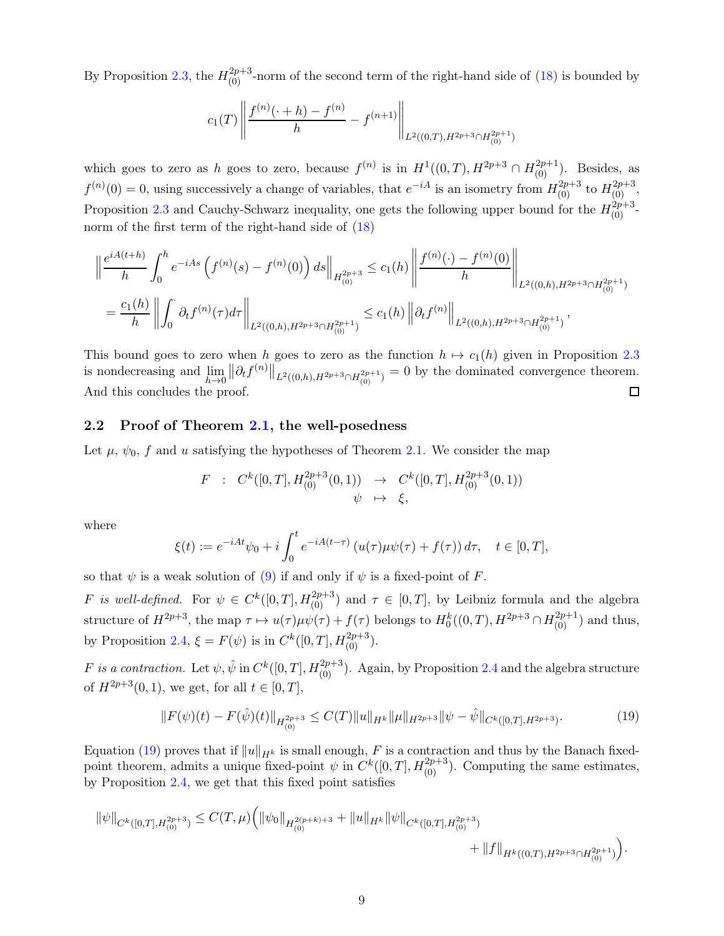By Proposition [2.3,](#page-6-2) the  $H_{(0)}^{2p+3}$ -norm of the second term of the right-hand side of [\(18\)](#page-7-2) is bounded by

$$
c_1(T) \left\| \frac{f^{(n)}(\cdot+h) - f^{(n)}}{h} - f^{(n+1)} \right\|_{L^2((0,T),H^{2p+3} \cap H^{2p+1}_{(0)})}
$$

which goes to zero as h goes to zero, because  $f^{(n)}$  is in  $H^1((0,T), H^{2p+3} \cap H^{2p+1}_{(0)})$ . Besides, as  $f^{(n)}(0) = 0$ , using successively a change of variables, that  $e^{-iA}$  is an isometry from  $H^{2p+3}_{(0)}$  to  $H^{2p+3}_{(0)}$ , Proposition [2.3](#page-6-2) and Cauchy-Schwarz inequality, one gets the following upper bound for the  $H_{(0)}^{2p+3}$ . norm of the first term of the right-hand side of  $(18)$ 

$$
\left\|\frac{e^{iA(t+h)}}{h}\int_0^h e^{-iAs}\left(f^{(n)}(s) - f^{(n)}(0)\right)ds\right\|_{H^{2p+3}_{(0)}} \le c_1(h)\left\|\frac{f^{(n)}(\cdot) - f^{(n)}(0)}{h}\right\|_{L^2((0,h),H^{2p+3}\cap H^{2p+1}_{(0)})}
$$
  
=  $\frac{c_1(h)}{h}\left\|\int_0^{\cdot} \partial_t f^{(n)}(\tau)d\tau\right\|_{L^2((0,h),H^{2p+3}\cap H^{2p+1}_{(0)})} \le c_1(h)\left\|\partial_t f^{(n)}\right\|_{L^2((0,h),H^{2p+3}\cap H^{2p+1}_{(0)})},$ 

This bound goes to zero when h goes to zero as the function  $h \mapsto c_1(h)$  given in Proposition [2.3](#page-6-2)  $||\partial_t f^{(n)}||_{L^2((0,h),H^{2p+3}\cap H^{2p+1}_{(0)})}=0$  by the dominated convergence theorem. is nondecreasing and  $\lim_{h\to 0}$ And this concludes the proof.  $\Box$ 

### <span id="page-8-0"></span>2.2 Proof of Theorem [2.1,](#page-5-2) the well-posedness

Let  $\mu$ ,  $\psi_0$ , f and u satisfying the hypotheses of Theorem [2.1.](#page-5-2) We consider the map

$$
F : C^{k}([0, T], H^{2p+3}_{(0)}(0, 1)) \rightarrow C^{k}([0, T], H^{2p+3}_{(0)}(0, 1))
$$
  

$$
\psi \mapsto \xi,
$$

where

$$
\xi(t) := e^{-iAt}\psi_0 + i\int_0^t e^{-iA(t-\tau)} \left( u(\tau)\mu\psi(\tau) + f(\tau) \right) d\tau, \quad t \in [0, T],
$$

so that  $\psi$  is a weak solution of [\(9\)](#page-5-3) if and only if  $\psi$  is a fixed-point of F.

F is well-defined. For  $\psi \in C^k([0,T], H^{2p+3}_{(0)})$  and  $\tau \in [0,T]$ , by Leibniz formula and the algebra structure of  $H^{2p+3}$ , the map  $\tau \mapsto u(\tau)\mu\psi(\tau) + f(\tau)$  belongs to  $H_0^k((0,T), H^{2p+3} \cap H_{(0)}^{2p+1})$  and thus, by Proposition [2.4,](#page-7-3)  $\xi = F(\psi)$  is in  $C^k([0,T], H^{2p+3}_{(0)}).$ 

F is a contraction. Let  $\psi, \hat{\psi}$  in  $C^k([0,T], H^{2p+3}_{(0)})$ . Again, by Proposition [2.4](#page-7-3) and the algebra structure of  $H^{2p+3}(0,1)$ , we get, for all  $t \in [0,T]$ ,

<span id="page-8-1"></span>
$$
||F(\psi)(t) - F(\hat{\psi})(t)||_{H^{2p+3}_{(0)}} \le C(T)||u||_{H^k} ||\mu||_{H^{2p+3}} ||\psi - \hat{\psi}||_{C^k([0,T], H^{2p+3})}.
$$
\n(19)

Equation [\(19\)](#page-8-1) proves that if  $||u||_{H^k}$  is small enough, F is a contraction and thus by the Banach fixedpoint theorem, admits a unique fixed-point  $\psi$  in  $C^k([0,T], H_{(0)}^{2p+3})$ . Computing the same estimates, by Proposition [2.4,](#page-7-3) we get that this fixed point satisfies

$$
\|\psi\|_{C^k([0,T],H^{2p+3}_{(0)})}\leq C(T,\mu)\Big(\|\psi_0\|_{H^{2(p+k)+3}_{(0)}}+\|u\|_{H^k}\|\psi\|_{C^k([0,T],H^{2p+3}_{(0)})}\\\hspace{2cm}+\|f\|_{H^k((0,T),H^{2p+3}\cap H^{2p+1}_{(0)})}\Big).
$$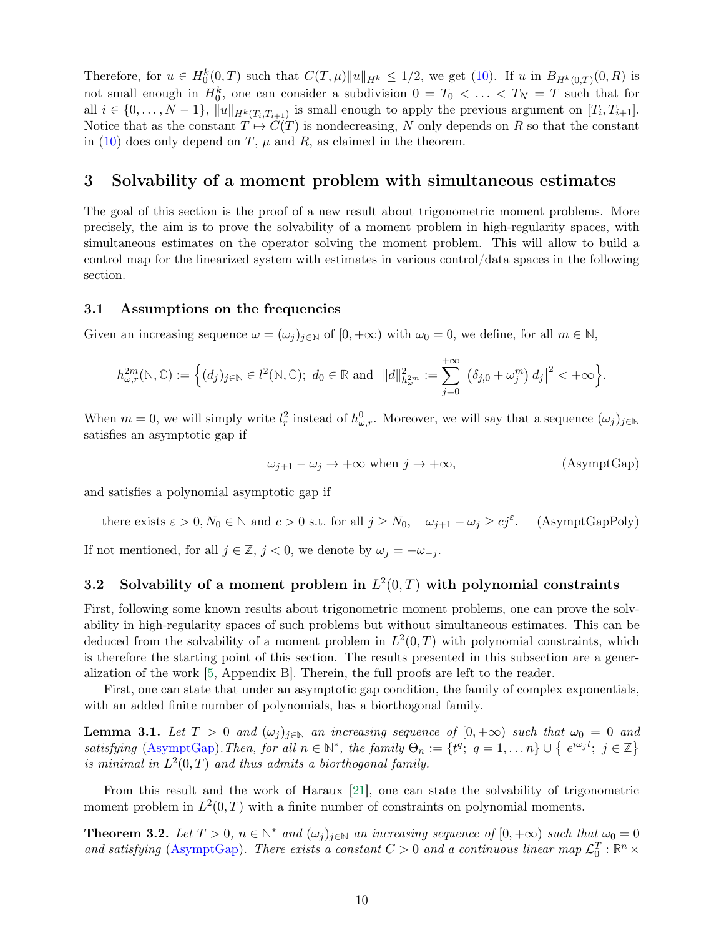Therefore, for  $u \in H_0^k(0,T)$  such that  $C(T,\mu) \|u\|_{H^k} \leq 1/2$ , we get [\(10\)](#page-5-4). If u in  $B_{H^k(0,T)}(0,R)$  is not small enough in  $H_0^k$ , one can consider a subdivision  $0 = T_0 < \ldots < T_N = T$  such that for all  $i \in \{0, \ldots, N-1\}$ ,  $||u||_{H^k(T_i, T_{i+1})}$  is small enough to apply the previous argument on  $[T_i, T_{i+1}]$ . Notice that as the constant  $T \mapsto C(T)$  is nondecreasing, N only depends on R so that the constant in [\(10\)](#page-5-4) does only depend on  $T$ ,  $\mu$  and  $R$ , as claimed in the theorem.

### <span id="page-9-0"></span>3 Solvability of a moment problem with simultaneous estimates

The goal of this section is the proof of a new result about trigonometric moment problems. More precisely, the aim is to prove the solvability of a moment problem in high-regularity spaces, with simultaneous estimates on the operator solving the moment problem. This will allow to build a control map for the linearized system with estimates in various control/data spaces in the following section.

### <span id="page-9-1"></span>3.1 Assumptions on the frequencies

Given an increasing sequence  $\omega = (\omega_j)_{j \in \mathbb{N}}$  of  $[0, +\infty)$  with  $\omega_0 = 0$ , we define, for all  $m \in \mathbb{N}$ ,

$$
h_{\omega,r}^{2m}(\mathbb{N},\mathbb{C}):=\Big\{(d_j)_{j\in\mathbb{N}}\in l^2(\mathbb{N},\mathbb{C});\ d_0\in\mathbb{R}\text{ and }\ \|d\|_{h_{\omega}^{2m}}^2:=\sum_{j=0}^{+\infty}\big|\big(\delta_{j,0}+\omega_j^m\big)\,d_j\big|^2<+\infty\Big\}.
$$

When  $m = 0$ , we will simply write  $l_r^2$  instead of  $h_{\omega,r}^0$ . Moreover, we will say that a sequence  $(\omega_j)_{j \in \mathbb{N}}$ satisfies an asymptotic gap if

<span id="page-9-5"></span><span id="page-9-3"></span>
$$
\omega_{j+1} - \omega_j \to +\infty \text{ when } j \to +\infty,
$$
 (AsymptGap)

and satisfies a polynomial asymptotic gap if

there exists 
$$
\varepsilon > 0
$$
,  $N_0 \in \mathbb{N}$  and  $c > 0$  s.t. for all  $j \ge N_0$ ,  $\omega_{j+1} - \omega_j \ge c j^{\varepsilon}$ . (AsymptGapPoly)

<span id="page-9-2"></span>If not mentioned, for all  $j \in \mathbb{Z}$ ,  $j < 0$ , we denote by  $\omega_j = -\omega_{-j}$ .

### 3.2 Solvability of a moment problem in  $L^2(0,T)$  with polynomial constraints

First, following some known results about trigonometric moment problems, one can prove the solvability in high-regularity spaces of such problems but without simultaneous estimates. This can be deduced from the solvability of a moment problem in  $L^2(0,T)$  with polynomial constraints, which is therefore the starting point of this section. The results presented in this subsection are a generalization of the work [\[5,](#page-27-0) Appendix B]. Therein, the full proofs are left to the reader.

First, one can state that under an asymptotic gap condition, the family of complex exponentials, with an added finite number of polynomials, has a biorthogonal family.

**Lemma 3.1.** Let  $T > 0$  and  $(\omega_j)_{j \in \mathbb{N}}$  an increasing sequence of  $[0, +\infty)$  such that  $\omega_0 = 0$  and  $satisfying \text{ (AsymptGap)}. Then, for all  $n \in \mathbb{N}^*$ , the family  $\Theta_n := \{t^q; q = 1, ..., n\} \cup \{e^{i\omega_j t}; j \in \mathbb{Z}\}\$$  $satisfying \text{ (AsymptGap)}. Then, for all  $n \in \mathbb{N}^*$ , the family  $\Theta_n := \{t^q; q = 1, ..., n\} \cup \{e^{i\omega_j t}; j \in \mathbb{Z}\}\$$  $satisfying \text{ (AsymptGap)}. Then, for all  $n \in \mathbb{N}^*$ , the family  $\Theta_n := \{t^q; q = 1, ..., n\} \cup \{e^{i\omega_j t}; j \in \mathbb{Z}\}\$$ is minimal in  $L^2(0,T)$  and thus admits a biorthogonal family.

<span id="page-9-4"></span>From this result and the work of Haraux [\[21\]](#page-28-11), one can state the solvability of trigonometric moment problem in  $L^2(0,T)$  with a finite number of constraints on polynomial moments.

**Theorem 3.2.** Let  $T > 0$ ,  $n \in \mathbb{N}^*$  and  $(\omega_j)_{j \in \mathbb{N}}$  an increasing sequence of  $[0, +\infty)$  such that  $\omega_0 = 0$ and satisfying [\(AsymptGap\)](#page-9-3). There exists a constant  $C > 0$  and a continuous linear map  $\mathcal{L}_0^T : \mathbb{R}^n \times$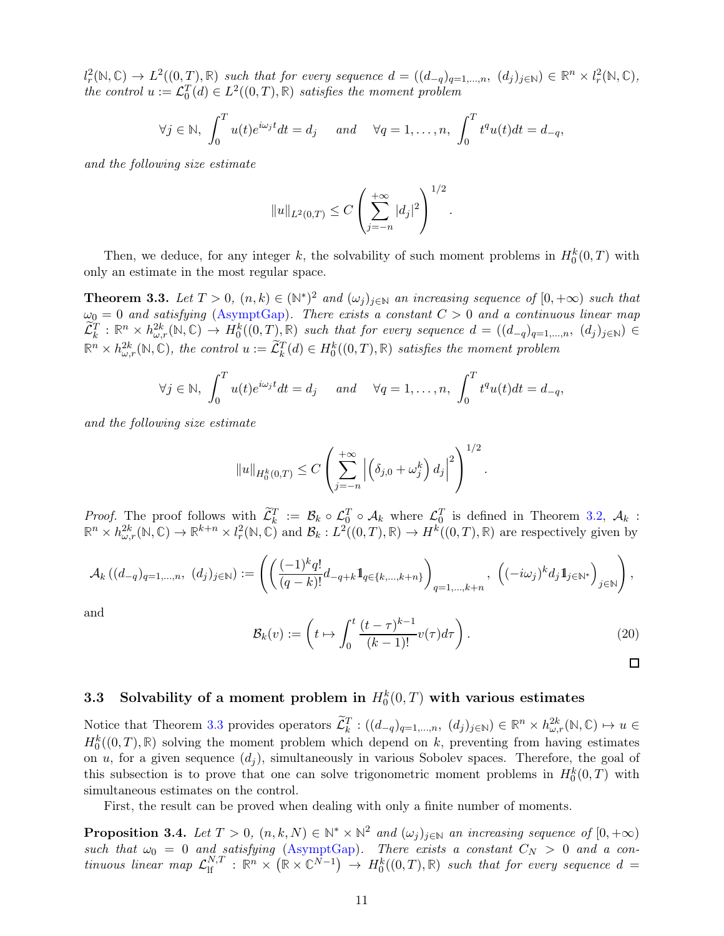$l_r^2(\mathbb{N}, \mathbb{C}) \to L^2((0,T), \mathbb{R})$  such that for every sequence  $d = ((d_{-q})_{q=1,\dots,n}, (d_j)_{j\in\mathbb{N}}) \in \mathbb{R}^n \times l_r^2(\mathbb{N}, \mathbb{C}),$ the control  $u := \mathcal{L}_0^T(d) \in L^2((0,T),\mathbb{R})$  satisfies the moment problem

$$
\forall j \in \mathbb{N}, \int_0^T u(t)e^{i\omega_j t}dt = d_j \quad \text{and} \quad \forall q = 1, \dots, n, \int_0^T t^q u(t)dt = d_{-q},
$$

and the following size estimate

$$
||u||_{L^{2}(0,T)} \leq C \left(\sum_{j=-n}^{+\infty} |d_j|^2\right)^{1/2}
$$

<span id="page-10-1"></span>Then, we deduce, for any integer k, the solvability of such moment problems in  $H_0^k(0,T)$  with only an estimate in the most regular space.

**Theorem 3.3.** Let  $T > 0$ ,  $(n, k) \in (\mathbb{N}^*)^2$  and  $(\omega_j)_{j \in \mathbb{N}}$  an increasing sequence of  $[0, +\infty)$  such that  $\omega_0 = 0$  and satisfying [\(AsymptGap\)](#page-9-3). There exists a constant  $C > 0$  and a continuous linear map  $\widetilde{\mathcal{L}}_k^T : \mathbb{R}^n \times h_{\omega,r}^{2k}(\mathbb{N}, \mathbb{C}) \to H_0^k((0,T), \mathbb{R})$  such that for every sequence  $d = ((d_{-q})_{q=1,\dots,n}, (d_j)_{j \in \mathbb{N}}) \in$  $\mathbb{R}^n \times h_{\omega,r}^{2k}(\mathbb{N}, \mathbb{C})$ , the control  $u := \widetilde{\mathcal{L}}_k^T(d) \in H_0^k((0,T), \mathbb{R})$  satisfies the moment problem

$$
\forall j \in \mathbb{N}, \int_0^T u(t)e^{i\omega_j t}dt = d_j \quad \text{and} \quad \forall q = 1, \dots, n, \int_0^T t^q u(t)dt = d_{-q},
$$

and the following size estimate

$$
||u||_{H_0^k(0,T)} \leq C \left( \sum_{j=-n}^{+\infty} \left| \left( \delta_{j,0} + \omega_j^k \right) d_j \right|^2 \right)^{1/2}.
$$

*Proof.* The proof follows with  $\widetilde{\mathcal{L}}_k^T := \mathcal{B}_k \circ \mathcal{L}_0^T \circ \mathcal{A}_k$  where  $\mathcal{L}_0^T$  is defined in Theorem [3.2,](#page-9-4)  $\mathcal{A}_k$ :<br> $\mathbb{R}^n \times h_{\omega,r}^{2k}(\mathbb{N}, \mathbb{C}) \to \mathbb{R}^{k+n} \times l_r^2(\mathbb{N}, \mathbb{C})$  and  $\mathcal{B}_k : L^2((0,T), \mathbb$ 

$$
\mathcal A_k\left((d_{-q})_{q=1,\ldots,n},\ (d_j)_{j\in\mathbb N}\right):=\left(\left(\frac{(-1)^kq!}{(q-k)!}d_{-q+k}1\hspace{-0.1cm}1_{q\in\{k,\ldots,k+n\}}\right)_{q=1,\ldots,k+n},\ \left((-i\omega_j)^kd_j1\hspace{-0.1cm}1_{j\in\mathbb N^*}\right)_{j\in\mathbb N}\right),
$$

and

<span id="page-10-3"></span>
$$
\mathcal{B}_k(v) := \left( t \mapsto \int_0^t \frac{(t-\tau)^{k-1}}{(k-1)!} v(\tau) d\tau \right). \tag{20}
$$

.

## <span id="page-10-0"></span>3.3 Solvability of a moment problem in  $H_0^k(0,T)$  with various estimates

Notice that Theorem [3.3](#page-10-1) provides operators  $\widetilde{\mathcal{L}}_k^T$ :  $((d_{-q})_{q=1,\ldots,n}, (d_j)_{j\in\mathbb{N}}) \in \mathbb{R}^n \times h_{\omega,r}^{2k}(\mathbb{N}, \mathbb{C}) \mapsto u \in$  $H_0^k((0,T),\mathbb{R})$  solving the moment problem which depend on k, preventing from having estimates on u, for a given sequence  $(d_i)$ , simultaneously in various Sobolev spaces. Therefore, the goal of this subsection is to prove that one can solve trigonometric moment problems in  $H_0^k(0,T)$  with simultaneous estimates on the control.

<span id="page-10-2"></span>First, the result can be proved when dealing with only a finite number of moments.

**Proposition 3.4.** Let  $T > 0$ ,  $(n, k, N) \in \mathbb{N}^* \times \mathbb{N}^2$  and  $(\omega_j)_{j \in \mathbb{N}}$  an increasing sequence of  $[0, +\infty)$ such that  $\omega_0 = 0$  and satisfying [\(AsymptGap\)](#page-9-3). There exists a constant  $C_N > 0$  and a con- $\lim_{\text{row 1}}$  linear map  $\mathcal{L}_{\text{lf}}^{N,T}$  :  $\mathbb{R}^n \times (\mathbb{R} \times \mathbb{C}^{N-1}) \to H_0^k((0,T),\mathbb{R})$  such that for every sequence  $d =$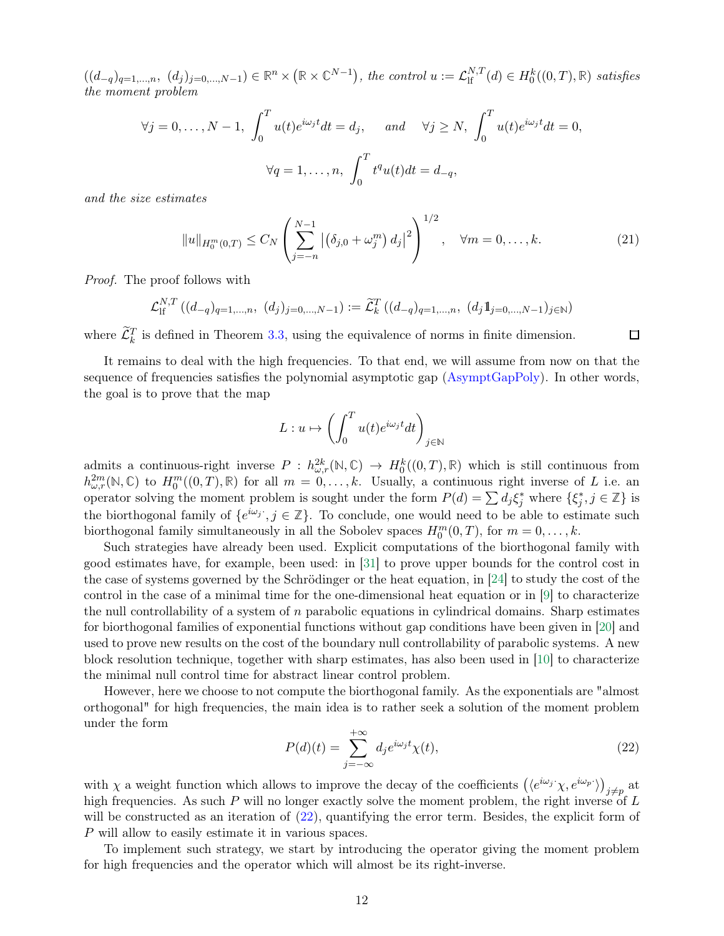$((d_{-q})_{q=1,...,n}, (d_j)_{j=0,...,N-1})$  ∈  $\mathbb{R}^n \times (\mathbb{R} \times \mathbb{C}^{N-1})$ , the control  $u := \mathcal{L}_{\text{lf}}^{N,T}(d) \in H_0^k((0,T), \mathbb{R})$  satisfies the moment problem

$$
\forall j = 0, \dots, N - 1, \int_0^T u(t)e^{i\omega_j t}dt = d_j, \quad \text{and} \quad \forall j \ge N, \int_0^T u(t)e^{i\omega_j t}dt = 0,
$$

$$
\forall q = 1, \dots, n, \int_0^T t^q u(t)dt = d_{-q},
$$

and the size estimates

<span id="page-11-1"></span>
$$
||u||_{H_0^m(0,T)} \le C_N \left( \sum_{j=-n}^{N-1} \left| \left( \delta_{j,0} + \omega_j^m \right) d_j \right|^2 \right)^{1/2}, \quad \forall m = 0, \dots, k. \tag{21}
$$

Proof. The proof follows with

$$
\mathcal{L}_{\text{lf}}^{N,T} \left( (d_{-q})_{q=1,\dots,n}, (d_j)_{j=0,\dots,N-1} \right) := \widetilde{\mathcal{L}}_k^T \left( (d_{-q})_{q=1,\dots,n}, (d_j 1_{j=0,\dots,N-1})_{j\in\mathbb{N}} \right)
$$

where  $\mathcal{L}_k^T$  is defined in Theorem [3.3,](#page-10-1) using the equivalence of norms in finite dimension.

 $\Box$ 

It remains to deal with the high frequencies. To that end, we will assume from now on that the sequence of frequencies satisfies the polynomial asymptotic gap [\(AsymptGapPoly\)](#page-9-5). In other words, the goal is to prove that the map

$$
L: u \mapsto \left(\int_0^T u(t)e^{i\omega_j t}dt\right)_{j \in \mathbb{N}}
$$

admits a continuous-right inverse  $P: h^{2k}_{\omega,r}(\mathbb{N}, \mathbb{C}) \to H_0^k((0,T), \mathbb{R})$  which is still continuous from  $h_{\omega,r}^{2m}(\mathbb{N},\mathbb{C})$  to  $H_0^m((0,T),\mathbb{R})$  for all  $m=0,\ldots,k$ . Usually, a continuous right inverse of L i.e. an operator solving the moment problem is sought under the form  $P(d) = \sum d_j \xi_j^*$  where  $\{\xi_j^*, j \in \mathbb{Z}\}\$ is the biorthogonal family of  $\{e^{i\omega_j}$ ;  $j \in \mathbb{Z}\}$ . To conclude, one would need to be able to estimate such biorthogonal family simultaneously in all the Sobolev spaces  $H_0^m(0,T)$ , for  $m = 0, \ldots, k$ .

Such strategies have already been used. Explicit computations of the biorthogonal family with good estimates have, for example, been used: in [\[31\]](#page-29-7) to prove upper bounds for the control cost in the case of systems governed by the Schrödinger or the heat equation, in [\[24\]](#page-28-12) to study the cost of the control in the case of a minimal time for the one-dimensional heat equation or in [\[9\]](#page-28-13) to characterize the null controllability of a system of  $n$  parabolic equations in cylindrical domains. Sharp estimates for biorthogonal families of exponential functions without gap conditions have been given in [\[20\]](#page-28-14) and used to prove new results on the cost of the boundary null controllability of parabolic systems. A new block resolution technique, together with sharp estimates, has also been used in [\[10\]](#page-28-15) to characterize the minimal null control time for abstract linear control problem.

However, here we choose to not compute the biorthogonal family. As the exponentials are "almost orthogonal" for high frequencies, the main idea is to rather seek a solution of the moment problem under the form

<span id="page-11-0"></span>
$$
P(d)(t) = \sum_{j=-\infty}^{+\infty} d_j e^{i\omega_j t} \chi(t),
$$
\n(22)

with  $\chi$  a weight function which allows to improve the decay of the coefficients  $(\langle e^{i\omega_j}\chi, e^{i\omega_p}\rangle)_{j\neq p}$  at high frequencies. As such P will no longer exactly solve the moment problem, the right inverse of L will be constructed as an iteration of  $(22)$ , quantifying the error term. Besides, the explicit form of P will allow to easily estimate it in various spaces.

To implement such strategy, we start by introducing the operator giving the moment problem for high frequencies and the operator which will almost be its right-inverse.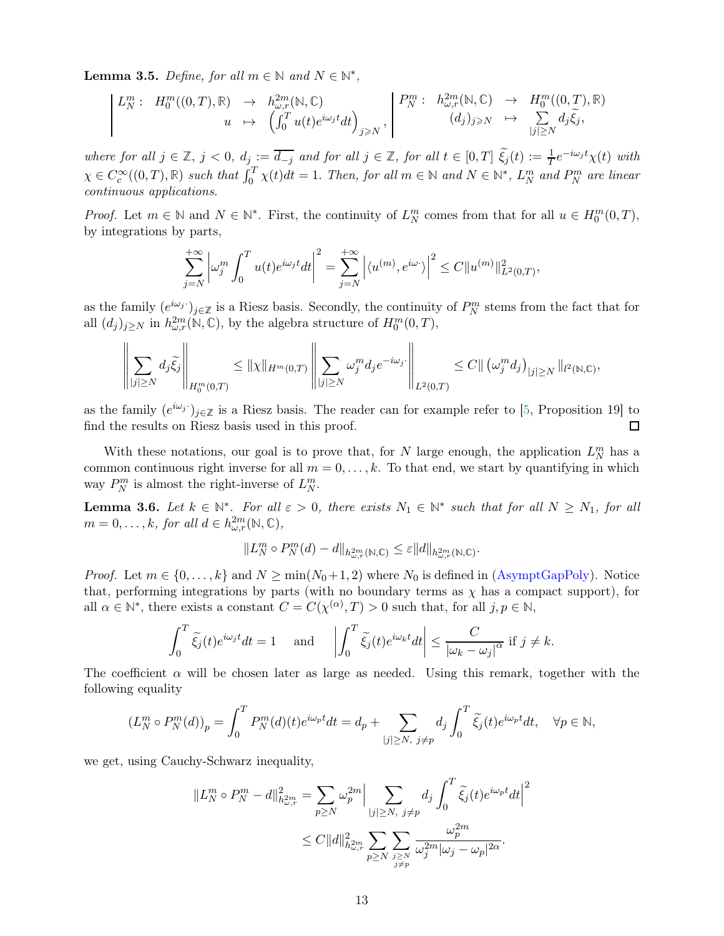Lemma 3.5. Define, for all  $m \in \mathbb{N}$  and  $N \in \mathbb{N}^*$ ,

$$
L_N^m: H_0^m((0,T), \mathbb{R}) \to h_{\omega, r}^{2m}(\mathbb{N}, \mathbb{C})
$$
  

$$
u \mapsto \left(\int_0^T u(t)e^{i\omega_j t}dt\right)_{j \geqslant N}, \begin{vmatrix} P_N^m: h_{\omega, r}^{2m}(\mathbb{N}, \mathbb{C}) \to H_0^m((0,T), \mathbb{R}) \\ (d_j)_{j \geqslant N} \mapsto \sum_{|j| \geqslant N} d_j \tilde{\xi}_j, \end{vmatrix}
$$

where for all  $j \in \mathbb{Z}$ ,  $j < 0$ ,  $d_j := \overline{d_{-j}}$  and for all  $j \in \mathbb{Z}$ , for all  $t \in [0, T]$   $\widetilde{\xi}_j(t) := \frac{1}{T} e^{-i\omega_j t} \chi(t)$  with  $\chi \in C_c^{\infty}((0,T),\mathbb{R})$  such that  $\int_0^T \chi(t)dt = 1$ . Then, for all  $m \in \mathbb{N}$  and  $N \in \mathbb{N}^*$ ,  $L_N^m$  and  $P_N^m$  are linear continuous applications.

*Proof.* Let  $m \in \mathbb{N}$  and  $N \in \mathbb{N}^*$ . First, the continuity of  $L_N^m$  comes from that for all  $u \in H_0^m(0,T)$ , by integrations by parts,

$$
\sum_{j=N}^{+\infty} \left| \omega_j^m \int_0^T u(t) e^{i\omega_j t} dt \right|^2 = \sum_{j=N}^{+\infty} \left| \langle u^{(m)}, e^{i\omega} \rangle \right|^2 \leq C \| u^{(m)} \|_{L^2(0,T)}^2,
$$

as the family  $(e^{i\omega_j})_{j\in\mathbb{Z}}$  is a Riesz basis. Secondly, the continuity of  $P_N^m$  stems from the fact that for all  $(d_j)_{j\geq N}$  in  $h^{2m}_{\omega,r}(\mathbb{N}, \mathbb{C})$ , by the algebra structure of  $H_0^m(0,T)$ ,

$$
\left\|\sum_{|j|\geq N}d_j\tilde{\xi_j}\right\|_{H_0^m(0,T)} \leq \|\chi\|_{H^m(0,T)} \left\|\sum_{|j|\geq N} \omega_j^m d_j e^{-i\omega_j}\right\|_{L^2(0,T)} \leq C \|\left(\omega_j^m d_j\right)_{|j|\geq N} \|_{l^2(\mathbb{N},\mathbb{C})},
$$

as the family  $(e^{i\omega_j})_{j\in\mathbb{Z}}$  is a Riesz basis. The reader can for example refer to [\[5,](#page-27-0) Proposition 19] to find the results on Riesz basis used in this proof. □

With these notations, our goal is to prove that, for N large enough, the application  $L_N^m$  has a common continuous right inverse for all  $m = 0, \ldots, k$ . To that end, we start by quantifying in which way  $P_N^m$  is almost the right-inverse of  $L_N^m$ .

<span id="page-12-0"></span>**Lemma 3.6.** Let  $k \in \mathbb{N}^*$ . For all  $\varepsilon > 0$ , there exists  $N_1 \in \mathbb{N}^*$  such that for all  $N \ge N_1$ , for all  $m = 0, \ldots, k$ , for all  $d \in h_{\omega, r}^{2m}(\mathbb{N}, \mathbb{C}),$ 

$$
||L_N^m \circ P_N^m(d) - d||_{h^{2m}_{\omega,r}(\mathbb{N},\mathbb{C})} \leq \varepsilon ||d||_{h^{2m}_{\omega,r}(\mathbb{N},\mathbb{C})}.
$$

*Proof.* Let  $m \in \{0, ..., k\}$  and  $N \ge \min(N_0+1, 2)$  where  $N_0$  is defined in [\(AsymptGapPoly\)](#page-9-5). Notice that, performing integrations by parts (with no boundary terms as  $\chi$  has a compact support), for all  $\alpha \in \mathbb{N}^*$ , there exists a constant  $C = C(\chi^{(\alpha)}, T) > 0$  such that, for all  $j, p \in \mathbb{N}$ ,

$$
\int_0^T \widetilde{\xi_j}(t) e^{i\omega_j t} dt = 1 \quad \text{and} \quad \left| \int_0^T \widetilde{\xi_j}(t) e^{i\omega_k t} dt \right| \le \frac{C}{|\omega_k - \omega_j|^{\alpha}} \text{ if } j \ne k.
$$

The coefficient  $\alpha$  will be chosen later as large as needed. Using this remark, together with the following equality

$$
(L_N^m \circ P_N^m(d))_p = \int_0^T P_N^m(d)(t)e^{i\omega_p t}dt = d_p + \sum_{|j| \ge N, \ j \ne p} d_j \int_0^T \widetilde{\xi_j}(t)e^{i\omega_p t}dt, \quad \forall p \in \mathbb{N},
$$

we get, using Cauchy-Schwarz inequality,

$$
||L_N^m \circ P_N^m - d||_{h_{\omega,r}^{2m}}^2 = \sum_{p \ge N} \omega_p^{2m} \Big| \sum_{\substack{|j| \ge N, \ j \ne p}} d_j \int_0^T \widetilde{\xi_j}(t) e^{i\omega_p t} dt \Big|^2
$$
  

$$
\le C ||d||_{h_{\omega,r}^{2m}}^2 \sum_{\substack{p \ge N \ j \ge N}} \sum_{\substack{j \ge N \ j \ne p}} \frac{\omega_p^{2m}}{\omega_j^{2m} |\omega_j - \omega_p|^{2\alpha}}.
$$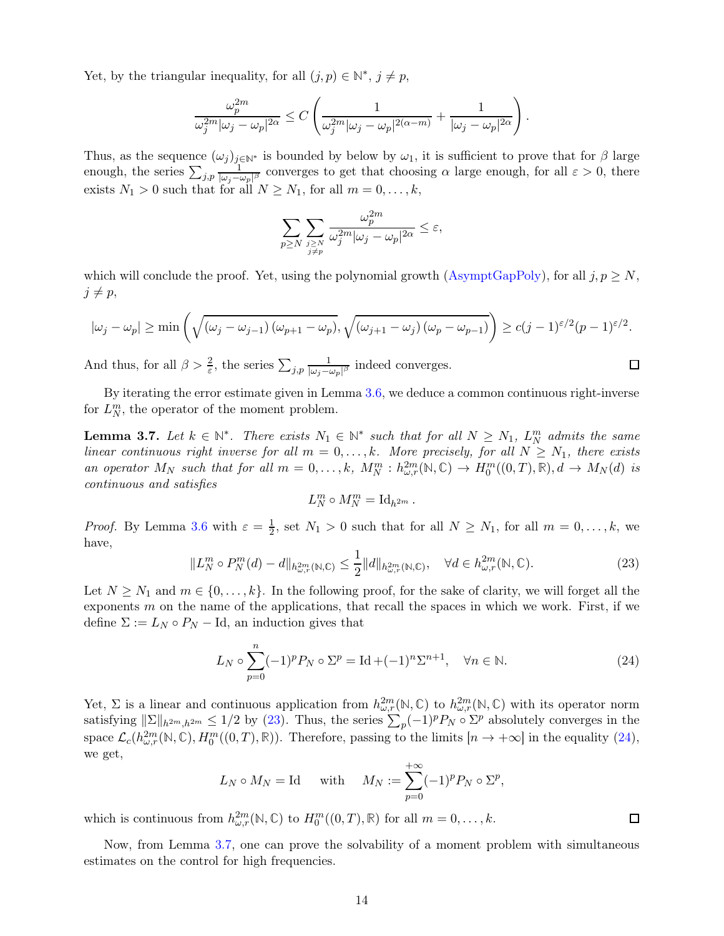Yet, by the triangular inequality, for all  $(j, p) \in \mathbb{N}^*, j \neq p$ ,

$$
\frac{\omega_p^{2m}}{\omega_j^{2m}|\omega_j-\omega_p|^{2\alpha}}\leq C\left(\frac{1}{\omega_j^{2m}|\omega_j-\omega_p|^{2(\alpha-m)}}+\frac{1}{|\omega_j-\omega_p|^{2\alpha}}\right).
$$

Thus, as the sequence  $(\omega_j)_{j\in\mathbb{N}^*}$  is bounded by below by  $\omega_1$ , it is sufficient to prove that for  $\beta$  large enough, the series  $\sum_{j,p} \frac{1}{|\omega_j - \omega_j|}$  $\frac{1}{|\omega_j-\omega_p|^{\beta}}$  converges to get that choosing  $\alpha$  large enough, for all  $\varepsilon > 0$ , there exists  $N_1 > 0$  such that for all  $N \ge N_1$ , for all  $m = 0, \ldots, k$ ,

$$
\sum_{p\geq N}\sum_{\stackrel{j\geq N}{j\neq p}}\frac{\omega_p^{2m}}{\omega_j^{2m}|\omega_j-\omega_p|^{2\alpha}}\leq \varepsilon,
$$

which will conclude the proof. Yet, using the polynomial growth [\(AsymptGapPoly\)](#page-9-5), for all  $j, p \geq N$ ,  $j \neq p$ ,

$$
|\omega_j - \omega_p| \ge \min\left(\sqrt{(\omega_j - \omega_{j-1})(\omega_{p+1} - \omega_p)}, \sqrt{(\omega_{j+1} - \omega_j)(\omega_p - \omega_{p-1})}\right) \ge c(j-1)^{\varepsilon/2}(p-1)^{\varepsilon/2}.
$$

And thus, for all  $\beta > \frac{2}{\varepsilon}$ , the series  $\sum_{j,p} \frac{1}{|\omega_j - \omega_j|}$  $\frac{1}{|\omega_j-\omega_p|^{\beta}}$  indeed converges.

<span id="page-13-2"></span>By iterating the error estimate given in Lemma [3.6,](#page-12-0) we deduce a common continuous right-inverse for  $L_N^m$ , the operator of the moment problem.

**Lemma 3.7.** Let  $k \in \mathbb{N}^*$ . There exists  $N_1 \in \mathbb{N}^*$  such that for all  $N \geq N_1$ ,  $L_N^m$  admits the same linear continuous right inverse for all  $m = 0, \ldots, k$ . More precisely, for all  $N \geq N_1$ , there exists an operator  $M_N$  such that for all  $m = 0, \ldots, k$ ,  $M_N^m : h_{\omega,r}^{2m}(\mathbb{N}, \mathbb{C}) \to H_0^m((0,T), \mathbb{R})$ ,  $d \to M_N(d)$  is continuous and satisfies

$$
L_N^m \circ M_N^m = \mathrm{Id}_{h^{2m}}.
$$

*Proof.* By Lemma [3.6](#page-12-0) with  $\varepsilon = \frac{1}{2}$  $\frac{1}{2}$ , set  $N_1 > 0$  such that for all  $N \ge N_1$ , for all  $m = 0, \ldots, k$ , we have,

<span id="page-13-0"></span>
$$
||L_N^m \circ P_N^m(d) - d||_{h_{\omega,r}^{2m}(\mathbb{N},\mathbb{C})} \le \frac{1}{2} ||d||_{h_{\omega,r}^{2m}(\mathbb{N},\mathbb{C})}, \quad \forall d \in h_{\omega,r}^{2m}(\mathbb{N},\mathbb{C}).
$$
\n(23)

 $\Box$ 

 $\Box$ 

Let  $N \geq N_1$  and  $m \in \{0, \ldots, k\}$ . In the following proof, for the sake of clarity, we will forget all the exponents  $m$  on the name of the applications, that recall the spaces in which we work. First, if we define  $\Sigma := L_N \circ P_N - \text{Id}$ , an induction gives that

<span id="page-13-1"></span>
$$
L_N \circ \sum_{p=0}^n (-1)^p P_N \circ \Sigma^p = \text{Id} + (-1)^n \Sigma^{n+1}, \quad \forall n \in \mathbb{N}.
$$
 (24)

Yet,  $\Sigma$  is a linear and continuous application from  $h_{\omega,r}^{2m}(\mathbb{N},\mathbb{C})$  to  $h_{\omega,r}^{2m}(\mathbb{N},\mathbb{C})$  with its operator norm satisfying  $\|\Sigma\|_{h^{2m},h^{2m}} \leq 1/2$  by [\(23\)](#page-13-0). Thus, the series  $\sum_{p} (-1)^p P_N \circ \Sigma^p$  absolutely converges in the space  $\mathcal{L}_c(h_{\omega,r}^{2m}(\mathbb{N}, \mathbb{C}), H_0^m((0,T), \mathbb{R})$ ). Therefore, passing to the limits  $[n \to +\infty]$  in the equality [\(24\)](#page-13-1), we get,

$$
L_N \circ M_N = \text{Id}
$$
 with  $M_N := \sum_{p=0}^{+\infty} (-1)^p P_N \circ \Sigma^p$ ,

which is continuous from  $h_{\omega,r}^{2m}(\mathbb{N}, \mathbb{C})$  to  $H_0^m((0,T), \mathbb{R})$  for all  $m = 0, \ldots, k$ .

<span id="page-13-3"></span>Now, from Lemma [3.7,](#page-13-2) one can prove the solvability of a moment problem with simultaneous estimates on the control for high frequencies.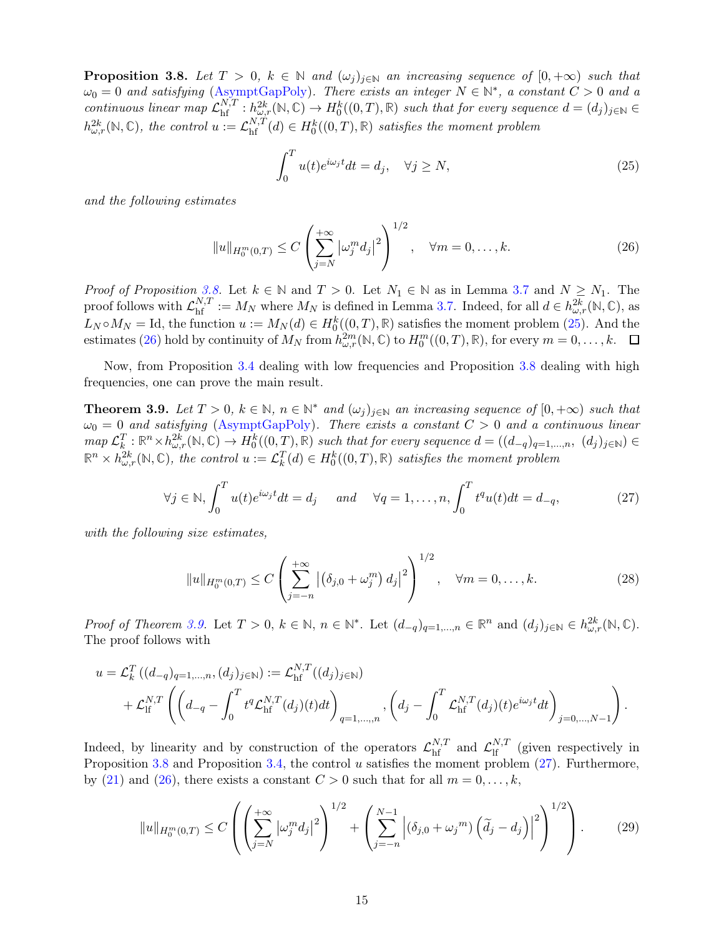**Proposition 3.8.** Let  $T > 0$ ,  $k \in \mathbb{N}$  and  $(\omega_j)_{j \in \mathbb{N}}$  an increasing sequence of  $[0, +\infty)$  such that  $\omega_0 = 0$  and satisfying [\(AsymptGapPoly\)](#page-9-5). There exists an integer  $N \in \mathbb{N}^*$ , a constant  $C > 0$  and a continuous linear map  $\mathcal{L}_{\text{hf}}^{N,T} : h_{\omega,r}^{2k}(\mathbb{N}, \mathbb{C}) \to H_0^k((0,T), \mathbb{R})$  such that for every sequence  $d = (d_j)_{j \in \mathbb{N}} \in$  $h_{\omega,r}^{2k}(\mathbb{N},\mathbb{C})$ , the control  $u:=\mathcal{L}_{\text{hf}}^{N,T}(d) \in H_0^k((0,T),\mathbb{R})$  satisfies the moment problem

<span id="page-14-0"></span>
$$
\int_0^T u(t)e^{i\omega_j t}dt = d_j, \quad \forall j \ge N,
$$
\n(25)

and the following estimates

<span id="page-14-1"></span>
$$
||u||_{H_0^m(0,T)} \le C \left(\sum_{j=N}^{+\infty} |\omega_j^m d_j|^2\right)^{1/2}, \quad \forall m = 0,\dots,k.
$$
 (26)

*Proof of Proposition [3.8.](#page-13-3)* Let  $k \in \mathbb{N}$  and  $T > 0$ . Let  $N_1 \in \mathbb{N}$  as in Lemma [3.7](#page-13-2) and  $N \geq N_1$ . The proof follows with  $\mathcal{L}_{\text{hf}}^{N,T} := M_N$  where  $M_N$  is defined in Lemma [3.7.](#page-13-2) Indeed, for all  $d \in h_{\omega,r}^{2k}(\mathbb{N}, \mathbb{C})$ , as  $L_N \circ M_N = \text{Id}$ , the function  $u := M_N(d) \in H_0^k((0,T), \mathbb{R})$  satisfies the moment problem [\(25\)](#page-14-0). And the estimates [\(26\)](#page-14-1) hold by continuity of  $M_N$  from  $h_{\omega,r}^{2m}(\mathbb{N}, \mathbb{C})$  to  $H_0^m((0,T), \mathbb{R})$ , for every  $m = 0, \ldots, k$ .

<span id="page-14-2"></span>Now, from Proposition [3.4](#page-10-2) dealing with low frequencies and Proposition [3.8](#page-13-3) dealing with high frequencies, one can prove the main result.

**Theorem 3.9.** Let  $T > 0$ ,  $k \in \mathbb{N}$ ,  $n \in \mathbb{N}^*$  and  $(\omega_j)_{j \in \mathbb{N}}$  an increasing sequence of  $[0, +\infty)$  such that  $\omega_0 = 0$  and satisfying [\(AsymptGapPoly\)](#page-9-5). There exists a constant  $C > 0$  and a continuous linear  $map \ L_k^T : \mathbb{R}^n \times h_{\omega,r}^{2k}(\mathbb{N}, \mathbb{C}) \to H_0^k((0,T), \mathbb{R})$  such that for every sequence  $d = ((d_{-q})_{q=1,\dots,n}, (d_j)_{j \in \mathbb{N}}) \in$  $\mathbb{R}^n \times h_{\omega,r}^{2k}(\mathbb{N}, \mathbb{C})$ , the control  $u := \mathcal{L}_k^T(d) \in H_0^k((0,T), \mathbb{R})$  satisfies the moment problem

<span id="page-14-3"></span>
$$
\forall j \in \mathbb{N}, \int_0^T u(t)e^{i\omega_j t}dt = d_j \quad \text{and} \quad \forall q = 1, \dots, n, \int_0^T t^q u(t)dt = d_{-q}, \tag{27}
$$

with the following size estimates,

<span id="page-14-5"></span>
$$
||u||_{H_0^m(0,T)} \le C \left( \sum_{j=-n}^{+\infty} |(\delta_{j,0} + \omega_j^m) d_j|^2 \right)^{1/2}, \quad \forall m = 0, \dots, k.
$$
 (28)

Proof of Theorem [3.9.](#page-14-2) Let  $T > 0$ ,  $k \in \mathbb{N}$ ,  $n \in \mathbb{N}^*$ . Let  $(d_{-q})_{q=1,\dots,n} \in \mathbb{R}^n$  and  $(d_j)_{j\in\mathbb{N}} \in h_{\omega,r}^{2k}(\mathbb{N}, \mathbb{C})$ . The proof follows with

$$
u = \mathcal{L}_{k}^{T} ((d_{-q})_{q=1,\dots,n}, (d_{j})_{j \in \mathbb{N}}) := \mathcal{L}_{\text{hf}}^{N,T} ((d_{j})_{j \in \mathbb{N}})
$$
  
+ 
$$
\mathcal{L}_{\text{hf}}^{N,T} \left( \left( d_{-q} - \int_{0}^{T} t^{q} \mathcal{L}_{\text{hf}}^{N,T}(d_{j})(t) dt \right)_{q=1,\dots,n}, \left( d_{j} - \int_{0}^{T} \mathcal{L}_{\text{hf}}^{N,T}(d_{j})(t) e^{i\omega_{j}t} dt \right)_{j=0,\dots,N-1} \right).
$$

Indeed, by linearity and by construction of the operators  $\mathcal{L}_{hf}^{N,T}$  and  $\mathcal{L}_{lf}^{N,T}$  (given respectively in Proposition [3.8](#page-13-3) and Proposition [3.4,](#page-10-2) the control u satisfies the moment problem  $(27)$ . Furthermore, by [\(21\)](#page-11-1) and [\(26\)](#page-14-1), there exists a constant  $C > 0$  such that for all  $m = 0, \ldots, k$ ,

<span id="page-14-4"></span>
$$
||u||_{H_0^m(0,T)} \le C \left( \left( \sum_{j=N}^{+\infty} |\omega_j^m d_j|^2 \right)^{1/2} + \left( \sum_{j=-n}^{N-1} \left| (\delta_{j,0} + \omega_j^m) \left( \widetilde{d}_j - d_j \right) \right|^2 \right)^{1/2} \right). \tag{29}
$$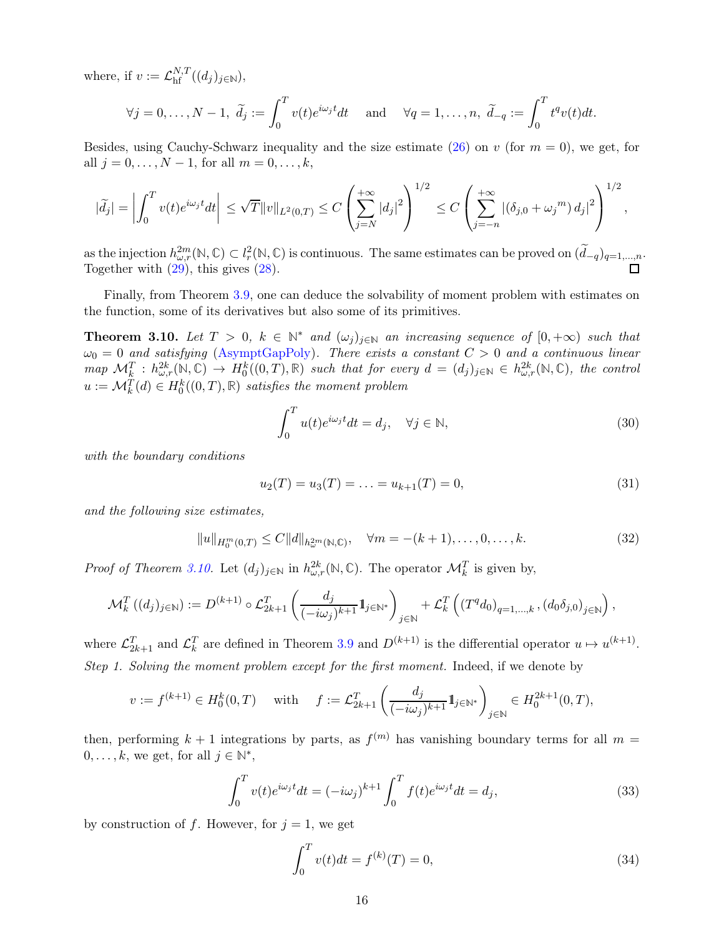where, if  $v := \mathcal{L}_{\text{hf}}^{N,T}((d_j)_{j \in \mathbb{N}})$ ,

$$
\forall j = 0, \dots, N-1, \ \widetilde{d}_j := \int_0^T v(t)e^{i\omega_j t}dt \quad \text{ and } \quad \forall q = 1, \dots, n, \ \widetilde{d}_{-q} := \int_0^T t^q v(t)dt.
$$

Besides, using Cauchy-Schwarz inequality and the size estimate [\(26\)](#page-14-1) on v (for  $m = 0$ ), we get, for all  $j = 0, ..., N - 1$ , for all  $m = 0, ..., k$ ,

$$
|\widetilde{d}_j| = \left| \int_0^T v(t) e^{i\omega_j t} dt \right| \leq \sqrt{T} ||v||_{L^2(0,T)} \leq C \left( \sum_{j=N}^{+\infty} |d_j|^2 \right)^{1/2} \leq C \left( \sum_{j=-n}^{+\infty} |(\delta_{j,0} + \omega_j^m) d_j|^2 \right)^{1/2},
$$

as the injection  $h_{\omega,r}^{2m}(\mathbb{N},\mathbb{C}) \subset l_r^2(\mathbb{N},\mathbb{C})$  is continuous. The same estimates can be proved on  $(\widetilde{d}_{-q})_{q=1,\dots,n}$ . Together with  $(29)$ , this gives  $(28)$ .

<span id="page-15-0"></span>Finally, from Theorem [3.9,](#page-14-2) one can deduce the solvability of moment problem with estimates on the function, some of its derivatives but also some of its primitives.

**Theorem 3.10.** Let  $T > 0$ ,  $k \in \mathbb{N}^*$  and  $(\omega_j)_{j \in \mathbb{N}}$  an increasing sequence of  $[0, +\infty)$  such that  $\omega_0 = 0$  and satisfying [\(AsymptGapPoly\)](#page-9-5). There exists a constant  $C > 0$  and a continuous linear  $map \ \mathcal{M}_k^T : h_{\omega,r}^{2k}(\mathbb{N},\mathbb{C}) \to H_0^k((0,T),\mathbb{R})$  such that for every  $d = (d_j)_{j\in\mathbb{N}} \in h_{\omega,r}^{2k}(\mathbb{N},\mathbb{C})$ , the control  $u := \mathcal{M}_k^T(d) \in H_0^k((0,T), \mathbb{R})$  satisfies the moment problem

<span id="page-15-4"></span>
$$
\int_0^T u(t)e^{i\omega_j t}dt = d_j, \quad \forall j \in \mathbb{N},\tag{30}
$$

with the boundary conditions

<span id="page-15-1"></span>
$$
u_2(T) = u_3(T) = \dots = u_{k+1}(T) = 0,\tag{31}
$$

and the following size estimates,

<span id="page-15-5"></span>
$$
||u||_{H_0^m(0,T)} \le C||d||_{h_\omega^{2m}(\mathbb{N},\mathbb{C})}, \quad \forall m = -(k+1), \dots, 0, \dots, k. \tag{32}
$$

*Proof of Theorem [3.10.](#page-15-0)* Let  $(d_j)_{j\in\mathbb{N}}$  in  $h^{2k}_{\omega,r}(\mathbb{N}, \mathbb{C})$ . The operator  $\mathcal{M}_k^T$  is given by,

$$
\mathcal{M}_{k}^{T}\left((d_{j})_{j\in\mathbb{N}}\right):=D^{(k+1)}\circ\mathcal{L}_{2k+1}^{T}\left(\frac{d_{j}}{(-i\omega_{j})^{k+1}}1\!\!1_{j\in\mathbb{N}^{*}}\right)_{j\in\mathbb{N}}+\mathcal{L}_{k}^{T}\left(\left(T^{q}d_{0}\right)_{q=1,\ldots,k},\left(d_{0}\delta_{j,0}\right)_{j\in\mathbb{N}}\right),
$$

where  $\mathcal{L}_{2k+1}^T$  and  $\mathcal{L}_k^T$  are defined in Theorem [3.9](#page-14-2) and  $D^{(k+1)}$  is the differential operator  $u \mapsto u^{(k+1)}$ . Step 1. Solving the moment problem except for the first moment. Indeed, if we denote by

$$
v:=f^{(k+1)}\in H_0^k(0,T)\quad \text{ with }\quad f:=\mathcal{L}^T_{2k+1}\left(\frac{d_j}{(-i\omega_j)^{k+1}}1\!\!1_{j\in\mathbb{N}^*}\right)_{j\in\mathbb{N}}\in H_0^{2k+1}(0,T),
$$

then, performing  $k+1$  integrations by parts, as  $f^{(m)}$  has vanishing boundary terms for all  $m=$  $0, \ldots, k$ , we get, for all  $j \in \mathbb{N}^*$ ,

<span id="page-15-2"></span>
$$
\int_0^T v(t)e^{i\omega_j t}dt = (-i\omega_j)^{k+1} \int_0^T f(t)e^{i\omega_j t}dt = d_j,
$$
\n(33)

by construction of f. However, for  $j = 1$ , we get

<span id="page-15-3"></span>
$$
\int_{0}^{T} v(t)dt = f^{(k)}(T) = 0,
$$
\n(34)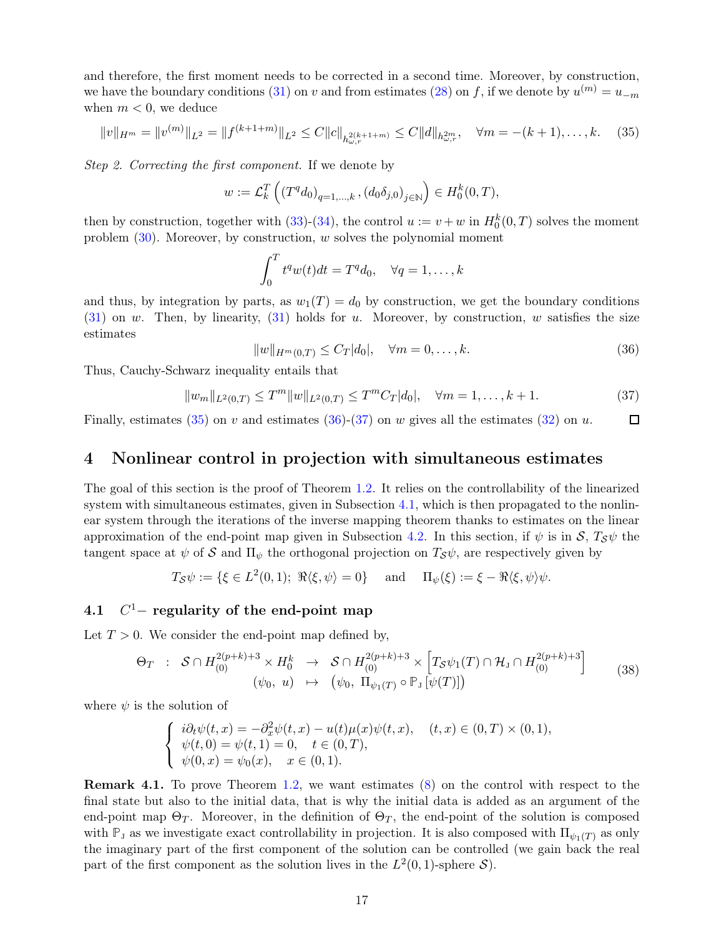and therefore, the first moment needs to be corrected in a second time. Moreover, by construction, we have the boundary conditions [\(31\)](#page-15-1) on v and from estimates [\(28\)](#page-14-5) on f, if we denote by  $u^{(m)} = u_{-m}$ when  $m < 0$ , we deduce

$$
||v||_{H^m} = ||v^{(m)}||_{L^2} = ||f^{(k+1+m)}||_{L^2} \le C||c||_{h_{\omega,r}^{2(k+1+m)}} \le C||d||_{h_{\omega,r}^{2m}}, \quad \forall m = -(k+1), \dots, k. \tag{35}
$$

Step 2. Correcting the first component. If we denote by

$$
w:=\mathcal{L}^T_k\left(\left(T^q d_0\right)_{q=1,\ldots,k}, \left(d_0 \delta_{j,0}\right)_{j\in\mathbb{N}}\right)\in H^k_0(0,T),
$$

then by construction, together with [\(33\)](#page-15-2)-[\(34\)](#page-15-3), the control  $u := v + w$  in  $H_0^k(0,T)$  solves the moment problem  $(30)$ . Moreover, by construction, w solves the polynomial moment

<span id="page-16-2"></span>
$$
\int_0^T t^q w(t) dt = T^q d_0, \quad \forall q = 1, \dots, k
$$

and thus, by integration by parts, as  $w_1(T) = d_0$  by construction, we get the boundary conditions  $(31)$  on w. Then, by linearity,  $(31)$  holds for u. Moreover, by construction, w satisfies the size estimates

<span id="page-16-3"></span>
$$
||w||_{H^m(0,T)} \le C_T |d_0|, \quad \forall m = 0, \dots, k. \tag{36}
$$

Thus, Cauchy-Schwarz inequality entails that

<span id="page-16-4"></span>
$$
||w_m||_{L^2(0,T)} \le T^m ||w||_{L^2(0,T)} \le T^m C_T |d_0|, \quad \forall m = 1, \dots, k+1.
$$
 (37)

<span id="page-16-0"></span>Finally, estimates [\(35\)](#page-16-2) on v and estimates [\(36\)](#page-16-3)-[\(37\)](#page-16-4) on w gives all the estimates [\(32\)](#page-15-5) on u.  $\Box$ 

### 4 Nonlinear control in projection with simultaneous estimates

The goal of this section is the proof of Theorem [1.2.](#page-2-1) It relies on the controllability of the linearized system with simultaneous estimates, given in Subsection [4.1,](#page-16-1) which is then propagated to the nonlinear system through the iterations of the inverse mapping theorem thanks to estimates on the linear approximation of the end-point map given in Subsection [4.2.](#page-18-0) In this section, if  $\psi$  is in  $S$ ,  $T_S\psi$  the tangent space at  $\psi$  of S and  $\Pi_{\psi}$  the orthogonal projection on  $T_{\mathcal{S}}\psi$ , are respectively given by

$$
T_{\mathcal{S}}\psi := \{ \xi \in L^2(0,1); \ \Re \langle \xi, \psi \rangle = 0 \} \quad \text{and} \quad \Pi_{\psi}(\xi) := \xi - \Re \langle \xi, \psi \rangle \psi.
$$

#### <span id="page-16-1"></span>4.1 C  $C<sup>1</sup>$  - regularity of the end-point map

Let  $T > 0$ . We consider the end-point map defined by,

<span id="page-16-5"></span>
$$
\Theta_T : \mathcal{S} \cap H^{2(p+k)+3}_{(0)} \times H^k_0 \to \mathcal{S} \cap H^{2(p+k)+3}_{(0)} \times \left[ T_{\mathcal{S}} \psi_1(T) \cap \mathcal{H}_J \cap H^{2(p+k)+3}_{(0)} \right] \qquad (38)
$$
  

$$
(\psi_0, u) \mapsto (\psi_0, \Pi_{\psi_1(T)} \circ \mathbb{P}_J [\psi(T)])
$$

where  $\psi$  is the solution of

$$
\begin{cases}\ni\partial_t\psi(t,x) = -\partial_x^2\psi(t,x) - u(t)\mu(x)\psi(t,x), & (t,x) \in (0,T) \times (0,1), \\
\psi(t,0) = \psi(t,1) = 0, & t \in (0,T), \\
\psi(0,x) = \psi_0(x), & x \in (0,1).\n\end{cases}
$$

Remark 4.1. To prove Theorem [1.2,](#page-2-1) we want estimates [\(8\)](#page-3-0) on the control with respect to the final state but also to the initial data, that is why the initial data is added as an argument of the end-point map  $\Theta_T$ . Moreover, in the definition of  $\Theta_T$ , the end-point of the solution is composed with  $\mathbb{P}_J$  as we investigate exact controllability in projection. It is also composed with  $\Pi_{\psi_1(T)}$  as only the imaginary part of the first component of the solution can be controlled (we gain back the real part of the first component as the solution lives in the  $L^2(0,1)$ -sphere  $S$ ).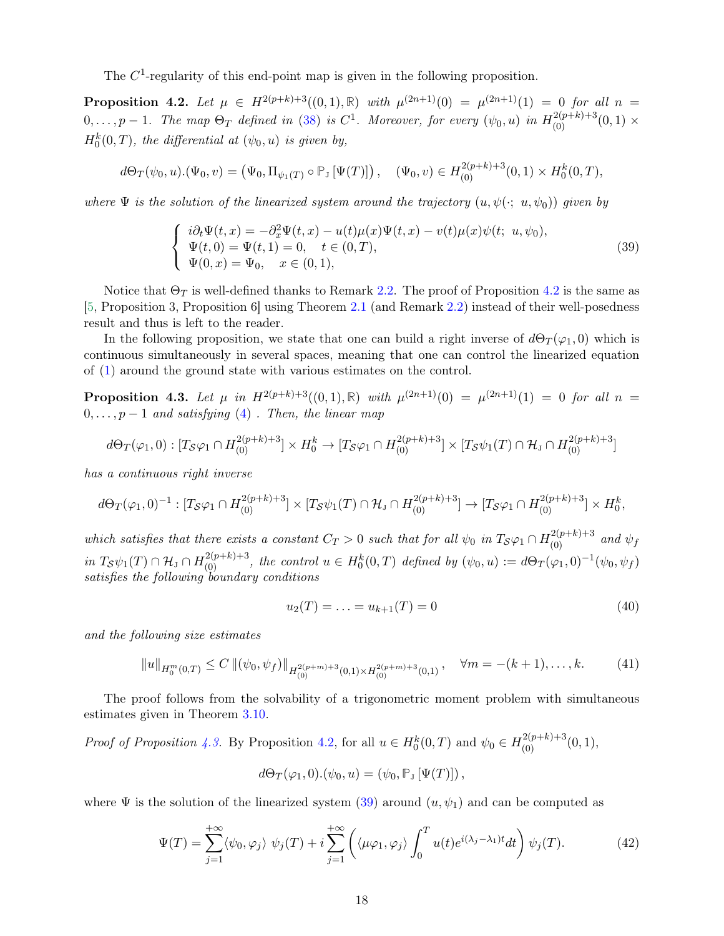<span id="page-17-1"></span>The  $C<sup>1</sup>$ -regularity of this end-point map is given in the following proposition.

**Proposition 4.2.** Let  $\mu \in H^{2(p+k)+3}((0,1),\mathbb{R})$  with  $\mu^{(2n+1)}(0) = \mu^{(2n+1)}(1) = 0$  for all  $n =$  $0,\ldots,p-1$ . The map  $\Theta_T$  defined in [\(38\)](#page-16-5) is  $C^1$ . Moreover, for every  $(\psi_0,u)$  in  $H^{2(p+k)+3}_{(0)}(0,1)\times$  $H_0^k(0,T)$ , the differential at  $(\psi_0, u)$  is given by,

$$
d\Theta_T(\psi_0, u).(\Psi_0, v) = (\Psi_0, \Pi_{\psi_1(T)} \circ \mathbb{P}_J [\Psi(T)]), \quad (\Psi_0, v) \in H^{2(p+k)+3}(0, 1) \times H^k_0(0, T),
$$

where  $\Psi$  is the solution of the linearized system around the trajectory  $(u, \psi(\cdot; u, \psi_0))$  given by

<span id="page-17-2"></span>
$$
\begin{cases}\n i\partial_t \Psi(t,x) = -\partial_x^2 \Psi(t,x) - u(t)\mu(x)\Psi(t,x) - v(t)\mu(x)\psi(t; u, \psi_0), \\
 \Psi(t,0) = \Psi(t,1) = 0, \quad t \in (0,T), \\
 \Psi(0,x) = \Psi_0, \quad x \in (0,1),\n\end{cases}
$$
\n(39)

Notice that  $\Theta_T$  is well-defined thanks to Remark [2.2.](#page-5-5) The proof of Proposition [4.2](#page-17-1) is the same as [\[5,](#page-27-0) Proposition 3, Proposition 6] using Theorem [2.1](#page-5-2) (and Remark [2.2\)](#page-5-5) instead of their well-posedness result and thus is left to the reader.

In the following proposition, we state that one can build a right inverse of  $d\Theta_T(\varphi_1, 0)$  which is continuous simultaneously in several spaces, meaning that one can control the linearized equation of [\(1\)](#page-1-2) around the ground state with various estimates on the control.

<span id="page-17-0"></span>**Proposition 4.3.** Let  $\mu$  in  $H^{2(p+k)+3}((0,1),\mathbb{R})$  with  $\mu^{(2n+1)}(0) = \mu^{(2n+1)}(1) = 0$  for all  $n =$  $0, \ldots, p-1$  and satisfying [\(4\)](#page-2-3). Then, the linear map

$$
d\Theta_T(\varphi_1,0): [T_S\varphi_1 \cap H_{(0)}^{2(p+k)+3}] \times H_0^k \to [T_S\varphi_1 \cap H_{(0)}^{2(p+k)+3}] \times [T_S\psi_1(T) \cap \mathcal{H}_J \cap H_{(0)}^{2(p+k)+3}]
$$

has a continuous right inverse

$$
d\Theta_T(\varphi_1,0)^{-1}: [T_\mathcal{S}\varphi_1 \cap H^{2(p+k)+3}_{(0)}] \times [T_\mathcal{S}\psi_1(T) \cap \mathcal{H}_J \cap H^{2(p+k)+3}_{(0)}] \to [T_\mathcal{S}\varphi_1 \cap H^{2(p+k)+3}_{(0)}] \times H^k_0,
$$

which satisfies that there exists a constant  $C_T > 0$  such that for all  $\psi_0$  in  $T_S\varphi_1 \cap H^{2(p+k)+3}_{(0)}$  and  $\psi_f$  $\inf T_{\mathcal{S}}\psi_1(T) \cap \mathcal{H}_J \cap H^{2(p+k)+3}_{(0)}$ , the control  $u \in H^k_0(0,T)$  defined by  $(\psi_0, u) := d\Theta_T(\varphi_1, 0)^{-1}(\psi_0, \psi_f)$ satisfies the following boundary conditions

<span id="page-17-3"></span>
$$
u_2(T) = \ldots = u_{k+1}(T) = 0 \tag{40}
$$

and the following size estimates

<span id="page-17-4"></span>
$$
||u||_{H_0^m(0,T)} \le C ||(\psi_0, \psi_f)||_{H_{(0)}^{2(p+m)+3}(0,1) \times H_{(0)}^{2(p+m)+3}(0,1)}, \quad \forall m = -(k+1), \dots, k. \tag{41}
$$

The proof follows from the solvability of a trigonometric moment problem with simultaneous estimates given in Theorem [3.10.](#page-15-0)

Proof of Proposition [4.3.](#page-17-0) By Proposition [4.2,](#page-17-1) for all  $u \in H_0^k(0,T)$  and  $\psi_0 \in H_{(0)}^{2(p+k)+3}(0,1)$ ,

$$
d\Theta_T(\varphi_1,0).(\psi_0,u) = (\psi_0, \mathbb{P}_J \left[\Psi(T)\right]),
$$

where  $\Psi$  is the solution of the linearized system [\(39\)](#page-17-2) around  $(u, \psi_1)$  and can be computed as

<span id="page-17-5"></span>
$$
\Psi(T) = \sum_{j=1}^{+\infty} \langle \psi_0, \varphi_j \rangle \psi_j(T) + i \sum_{j=1}^{+\infty} \left( \langle \mu \varphi_1, \varphi_j \rangle \int_0^T u(t) e^{i(\lambda_j - \lambda_1)t} dt \right) \psi_j(T). \tag{42}
$$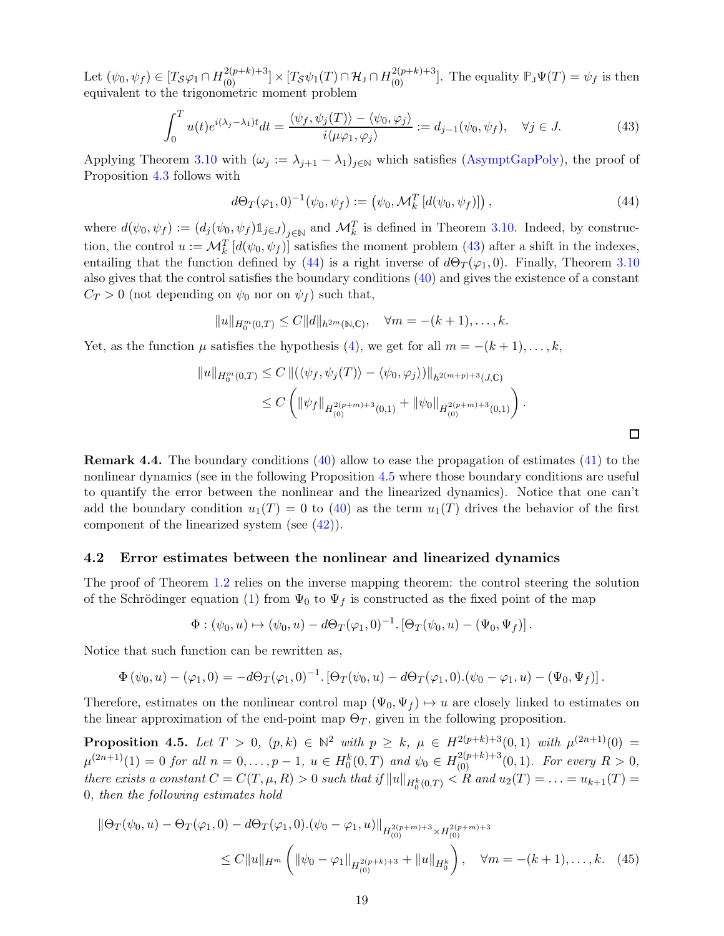Let  $(\psi_0, \psi_f) \in [T_\mathcal{S} \varphi_1 \cap H^{2(p+k)+3}_{(0)}] \times [T_\mathcal{S} \psi_1(T) \cap \mathcal{H}_J \cap H^{2(p+k)+3}_{(0)}]$ . The equality  $\mathbb{P}_J \Psi(T) = \psi_f$  is then equivalent to the trigonometric moment problem

<span id="page-18-1"></span>
$$
\int_0^T u(t)e^{i(\lambda_j - \lambda_1)t}dt = \frac{\langle \psi_f, \psi_j(T) \rangle - \langle \psi_0, \varphi_j \rangle}{i \langle \mu \varphi_1, \varphi_j \rangle} := d_{j-1}(\psi_0, \psi_f), \quad \forall j \in J. \tag{43}
$$

Applying Theorem [3.10](#page-15-0) with  $(\omega_j := \lambda_{j+1} - \lambda_1)_{j \in \mathbb{N}}$  which satisfies [\(AsymptGapPoly\)](#page-9-5), the proof of Proposition [4.3](#page-17-0) follows with

<span id="page-18-2"></span>
$$
d\Theta_T(\varphi_1, 0)^{-1}(\psi_0, \psi_f) := (\psi_0, \mathcal{M}_k^T [d(\psi_0, \psi_f)]) , \qquad (44)
$$

where  $d(\psi_0, \psi_f) := (d_j(\psi_0, \psi_f) \mathbb{1}_{j \in J})_{j \in \mathbb{N}}$  and  $\mathcal{M}_k^T$  is defined in Theorem [3.10.](#page-15-0) Indeed, by construction, the control  $u := \mathcal{M}_k^T [d(\psi_0, \psi_f)]$  satisfies the moment problem [\(43\)](#page-18-1) after a shift in the indexes, entailing that the function defined by [\(44\)](#page-18-2) is a right inverse of  $d\Theta_T(\varphi_1, 0)$ . Finally, Theorem [3.10](#page-15-0) also gives that the control satisfies the boundary conditions [\(40\)](#page-17-3) and gives the existence of a constant  $C_T > 0$  (not depending on  $\psi_0$  nor on  $\psi_f$ ) such that,

$$
||u||_{H_0^m(0,T)} \leq C||d||_{h^{2m}(\mathbb{N},\mathbb{C})}, \quad \forall m = -(k+1), \dots, k.
$$

Yet, as the function  $\mu$  satisfies the hypothesis [\(4\)](#page-2-3), we get for all  $m = -(k+1), \ldots, k$ ,

$$
||u||_{H_0^m(0,T)} \le C ||(\langle \psi_f, \psi_j(T) \rangle - \langle \psi_0, \varphi_j \rangle)||_{h^{2(m+p)+3}(J,\mathbb{C})}
$$
  
 
$$
\le C \left( ||\psi_f||_{H_{(0)}^{2(p+m)+3}(0,1)} + ||\psi_0||_{H_{(0)}^{2(p+m)+3}(0,1)} \right).
$$

<span id="page-18-4"></span> $\Box$ 

Remark 4.4. The boundary conditions [\(40\)](#page-17-3) allow to ease the propagation of estimates [\(41\)](#page-17-4) to the nonlinear dynamics (see in the following Proposition [4.5](#page-18-3) where those boundary conditions are useful to quantify the error between the nonlinear and the linearized dynamics). Notice that one can't add the boundary condition  $u_1(T) = 0$  to [\(40\)](#page-17-3) as the term  $u_1(T)$  drives the behavior of the first component of the linearized system (see [\(42\)](#page-17-5)).

#### <span id="page-18-0"></span>4.2 Error estimates between the nonlinear and linearized dynamics

The proof of Theorem [1.2](#page-2-1) relies on the inverse mapping theorem: the control steering the solution of the Schrödinger equation [\(1\)](#page-1-2) from  $\Psi_0$  to  $\Psi_f$  is constructed as the fixed point of the map

$$
\Phi : (\psi_0, u) \mapsto (\psi_0, u) - d\Theta_T(\varphi_1, 0)^{-1} \cdot [\Theta_T(\psi_0, u) - (\Psi_0, \Psi_f)].
$$

Notice that such function can be rewritten as,

$$
\Phi(\psi_0, u) - (\varphi_1, 0) = -d\Theta_T(\varphi_1, 0)^{-1} \cdot [\Theta_T(\psi_0, u) - d\Theta_T(\varphi_1, 0) \cdot (\psi_0 - \varphi_1, u) - (\Psi_0, \Psi_f)].
$$

<span id="page-18-3"></span>Therefore, estimates on the nonlinear control map  $(\Psi_0, \Psi_f) \mapsto u$  are closely linked to estimates on the linear approximation of the end-point map  $\Theta_T$ , given in the following proposition.

**Proposition 4.5.** Let  $T > 0$ ,  $(p, k) \in \mathbb{N}^2$  with  $p \ge k$ ,  $\mu \in H^{2(p+k)+3}(0, 1)$  with  $\mu^{(2n+1)}(0) =$  $\mu^{(2n+1)}(1) = 0$  for all  $n = 0, \ldots, p-1$ ,  $u \in H_0^k(0,T)$  and  $\psi_0 \in H_{(0)}^{2(p+k)+3}(0,1)$ . For every  $R > 0$ , there exists a constant  $C = C(T, \mu, R) > 0$  such that if  $||u||_{H_0^k(0,T)} < R$  and  $u_2(T) = \ldots = u_{k+1}(T) =$ 0, then the following estimates hold

$$
\|\Theta_T(\psi_0, u) - \Theta_T(\varphi_1, 0) - d\Theta_T(\varphi_1, 0).(\psi_0 - \varphi_1, u)\|_{H_{(0)}^{2(p+m)+3} \times H_{(0)}^{2(p+m)+3}}\leq C \|u\|_{H^m} \left( \|\psi_0 - \varphi_1\|_{H_{(0)}^{2(p+k)+3}} + \|u\|_{H_0^k} \right), \quad \forall m = -(k+1), \dots, k. \quad (45)
$$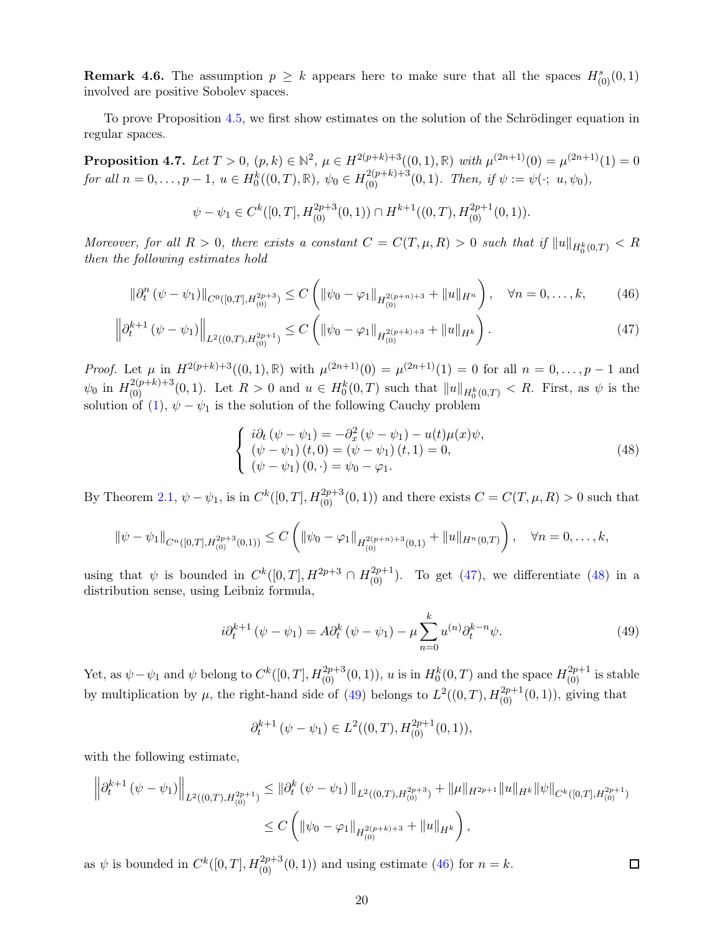**Remark 4.6.** The assumption  $p \geq k$  appears here to make sure that all the spaces  $H_{(0)}^s(0,1)$ involved are positive Sobolev spaces.

<span id="page-19-4"></span>To prove Proposition [4.5,](#page-18-3) we first show estimates on the solution of the Schrödinger equation in regular spaces.

**Proposition 4.7.** Let  $T > 0$ ,  $(p, k) \in \mathbb{N}^2$ ,  $\mu \in H^{2(p+k)+3}((0, 1), \mathbb{R})$  with  $\mu^{(2n+1)}(0) = \mu^{(2n+1)}(1) = 0$  $for \ all \ n = 0, \ldots, p - 1, \ u \in H_0^k((0, T), \mathbb{R}), \ \psi_0 \in H_{(0)}^{2(p+k)+3}(0, 1).$  Then, if  $\psi := \psi(\cdot; u, \psi_0),$ 

$$
\psi - \psi_1 \in C^k([0,T], H^{2p+3}_{(0)}(0,1)) \cap H^{k+1}((0,T), H^{2p+1}_{(0)}(0,1)).
$$

Moreover, for all  $R > 0$ , there exists a constant  $C = C(T, \mu, R) > 0$  such that if  $||u||_{H_0^k(0,T)} < R$ then the following estimates hold

$$
\|\partial_t^n \left( \psi - \psi_1 \right) \|_{C^0([0,T], H_{(0)}^{2p+3})} \le C \left( \|\psi_0 - \varphi_1\|_{H_{(0)}^{2(p+n)+3}} + \|u\|_{H^n} \right), \quad \forall n = 0, \dots, k,
$$
 (46)

$$
\left\| \partial_t^{k+1} \left( \psi - \psi_1 \right) \right\|_{L^2((0,T), H_{(0)}^{2p+1})} \le C \left( \left\| \psi_0 - \varphi_1 \right\|_{H_{(0)}^{2(p+k)+3}} + \left\| u \right\|_{H^k} \right). \tag{47}
$$

*Proof.* Let  $\mu$  in  $H^{2(p+k)+3}((0,1), \mathbb{R})$  with  $\mu^{(2n+1)}(0) = \mu^{(2n+1)}(1) = 0$  for all  $n = 0, \ldots, p-1$  and  $\psi_0$  in  $H^{2(p+k)+3}_{(0)}(0,1)$ . Let  $R>0$  and  $u \in H^k_0(0,T)$  such that  $||u||_{H^k_0(0,T)} < R$ . First, as  $\psi$  is the solution of [\(1\)](#page-1-2),  $\psi - \psi_1$  is the solution of the following Cauchy problem

<span id="page-19-3"></span><span id="page-19-1"></span><span id="page-19-0"></span>
$$
\begin{cases}\n i\partial_t (\psi - \psi_1) = -\partial_x^2 (\psi - \psi_1) - u(t)\mu(x)\psi, \\
 (\psi - \psi_1)(t, 0) = (\psi - \psi_1)(t, 1) = 0, \\
 (\psi - \psi_1)(0, \cdot) = \psi_0 - \varphi_1.\n\end{cases}
$$
\n(48)

By Theorem [2.1,](#page-5-2)  $\psi - \psi_1$ , is in  $C^k([0, T], H^{2p+3}_{(0)}(0, 1))$  and there exists  $C = C(T, \mu, R) > 0$  such that

$$
\|\psi - \psi_1\|_{C^n([0,T],H^{2p+3}_{(0)}(0,1))} \leq C \left( \|\psi_0 - \varphi_1\|_{H^{2(p+n)+3}_{(0)}(0,1)} + \|u\|_{H^n(0,T)} \right), \quad \forall n = 0,\ldots,k,
$$

using that  $\psi$  is bounded in  $C^k([0,T], H^{2p+3} \cap H^{2p+1}_{(0)})$ . To get [\(47\)](#page-19-0), we differentiate [\(48\)](#page-19-1) in a distribution sense, using Leibniz formula,

<span id="page-19-2"></span>
$$
i\partial_t^{k+1} (\psi - \psi_1) = A \partial_t^k (\psi - \psi_1) - \mu \sum_{n=0}^k u^{(n)} \partial_t^{k-n} \psi.
$$
 (49)

Yet, as  $\psi - \psi_1$  and  $\psi$  belong to  $C^k([0,T], H^{2p+3}_{(0)}(0,1)), u$  is in  $H^k_0(0,T)$  and the space  $H^{2p+1}_{(0)}$  is stable by multiplication by  $\mu$ , the right-hand side of [\(49\)](#page-19-2) belongs to  $L^2((0,T), H_{(0)}^{2p+1}(0,1))$ , giving that

$$
\partial_t^{k+1} \left( \psi - \psi_1 \right) \in L^2((0,T), H^{2p+1}_{(0)}(0,1)),
$$

with the following estimate,

$$
\left\|\partial_t^{k+1} \left(\psi - \psi_1\right)\right\|_{L^2((0,T),H_{(0)}^{2p+1})} \leq \left\|\partial_t^k \left(\psi - \psi_1\right)\right\|_{L^2((0,T),H_{(0)}^{2p+3})} + \|\mu\|_{H^{2p+1}} \|u\|_{H^k} \|\psi\|_{C^k([0,T],H_{(0)}^{2p+1})}
$$
  

$$
\leq C \left(\|\psi_0 - \varphi_1\|_{H_{(0)}^{2(p+k)+3}} + \|u\|_{H^k}\right),
$$

as  $\psi$  is bounded in  $C^k([0,T], H^{2p+3}_{(0)}(0,1))$  and using estimate [\(46\)](#page-19-3) for  $n = k$ .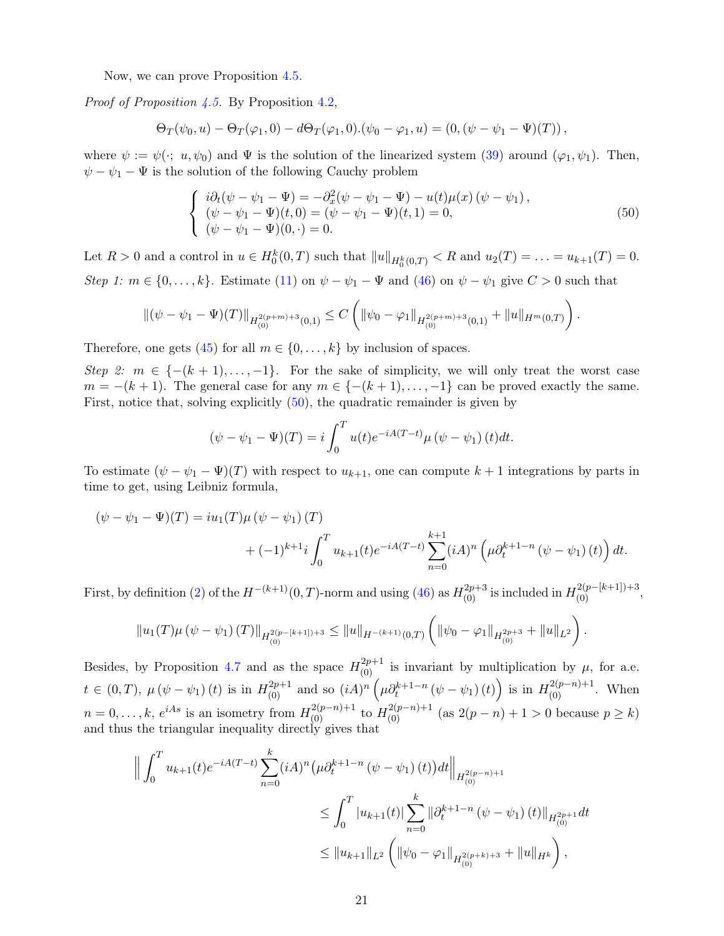Now, we can prove Proposition [4.5.](#page-18-3)

*Proof of Proposition [4.5.](#page-18-3)* By Proposition [4.2,](#page-17-1)

$$
\Theta_T(\psi_0, u) - \Theta_T(\varphi_1, 0) - d\Theta_T(\varphi_1, 0).(\psi_0 - \varphi_1, u) = (0, (\psi - \psi_1 - \Psi)(T)),
$$

where  $\psi := \psi(\cdot; u, \psi_0)$  and  $\Psi$  is the solution of the linearized system [\(39\)](#page-17-2) around  $(\varphi_1, \psi_1)$ . Then,  $\psi - \psi_1 - \Psi$  is the solution of the following Cauchy problem

<span id="page-20-0"></span>
$$
\begin{cases}\n i\partial_t(\psi - \psi_1 - \Psi) = -\partial_x^2(\psi - \psi_1 - \Psi) - u(t)\mu(x) (\psi - \psi_1), \\
 (\psi - \psi_1 - \Psi)(t, 0) = (\psi - \psi_1 - \Psi)(t, 1) = 0, \\
 (\psi - \psi_1 - \Psi)(0, \cdot) = 0.\n\end{cases}
$$
\n(50)

Let  $R > 0$  and a control in  $u \in H_0^k(0,T)$  such that  $||u||_{H_0^k(0,T)} < R$  and  $u_2(T) = \ldots = u_{k+1}(T) = 0$ . Step 1:  $m \in \{0, \ldots, k\}$ . Estimate [\(11\)](#page-5-6) on  $\psi - \psi_1 - \Psi$  and [\(46\)](#page-19-3) on  $\psi - \psi_1$  give  $C > 0$  such that

$$
\|(\psi - \psi_1 - \Psi)(T)\|_{H^{2(p+m)+3}_{(0)}(0,1)} \leq C \left( \|\psi_0 - \varphi_1\|_{H^{2(p+m)+3}_{(0)}(0,1)} + \|u\|_{H^m(0,T)} \right).
$$

Therefore, one gets [\(45\)](#page-18-4) for all  $m \in \{0, \ldots, k\}$  by inclusion of spaces.

Step 2:  $m \in \{- (k+1), \ldots, -1 \}$ . For the sake of simplicity, we will only treat the worst case  $m = -(k+1)$ . The general case for any  $m \in \{-(k+1), \ldots, -1\}$  can be proved exactly the same. First, notice that, solving explicitly [\(50\)](#page-20-0), the quadratic remainder is given by

$$
(\psi - \psi_1 - \Psi)(T) = i \int_0^T u(t) e^{-iA(T-t)} \mu (\psi - \psi_1) (t) dt.
$$

To estimate  $(\psi - \psi_1 - \Psi)(T)$  with respect to  $u_{k+1}$ , one can compute  $k+1$  integrations by parts in time to get, using Leibniz formula,

$$
(\psi - \psi_1 - \Psi)(T) = iu_1(T)\mu (\psi - \psi_1)(T)
$$
  
+  $(-1)^{k+1}i \int_0^T u_{k+1}(t)e^{-iA(T-t)} \sum_{n=0}^{k+1} (iA)^n \left(\mu \partial_t^{k+1-n} (\psi - \psi_1)(t)\right) dt.$ 

First, by definition [\(2\)](#page-2-4) of the  $H^{-(k+1)}(0,T)$ -norm and using [\(46\)](#page-19-3) as  $H^{2p+3}_{(0)}$  is included in  $H^{2(p-[k+1])+3}_{(0)}$ ,

$$
||u_1(T)\mu(\psi-\psi_1)(T)||_{H^{2(p-[k+1])+3}_{(0)}} \leq ||u||_{H^{-(k+1)}(0,T)} \left(||\psi_0-\varphi_1||_{H^{2p+3}_{(0)}}+||u||_{L^2}\right).
$$

Besides, by Proposition [4.7](#page-19-4) and as the space  $H_{(0)}^{2p+1}$  is invariant by multiplication by  $\mu$ , for a.e.  $t \in (0,T)$ ,  $\mu(\psi - \psi_1)(t)$  is in  $H^{2p+1}_{(0)}$  and so  $(iA)^n \left(\mu \partial_t^{k+1-n} (\psi - \psi_1)(t)\right)$  is in  $H^{2(p-n)+1}_{(0)}$ . When  $n = 0, \ldots, k, e^{iAs}$  is an isometry from  $H_{(0)}^{2(p-n)+1}$  to  $H_{(0)}^{2(p-n)+1}$  (as  $2(p-n)+1 > 0$  because  $p \ge k$ ) and thus the triangular inequality directly gives that

$$
\left\| \int_0^T u_{k+1}(t) e^{-iA(T-t)} \sum_{n=0}^k (iA)^n (\mu \partial_t^{k+1-n} (\psi - \psi_1)(t)) dt \right\|_{H_{(0)}^{2(p-n)+1}} \leq \int_0^T |u_{k+1}(t)| \sum_{n=0}^k \|\partial_t^{k+1-n} (\psi - \psi_1)(t)\|_{H_{(0)}^{2p+1}} dt
$$
  

$$
\leq \|u_{k+1}\|_{L^2} \left( \|\psi_0 - \varphi_1\|_{H_{(0)}^{2(p+k)+3}} + \|u\|_{H^k} \right),
$$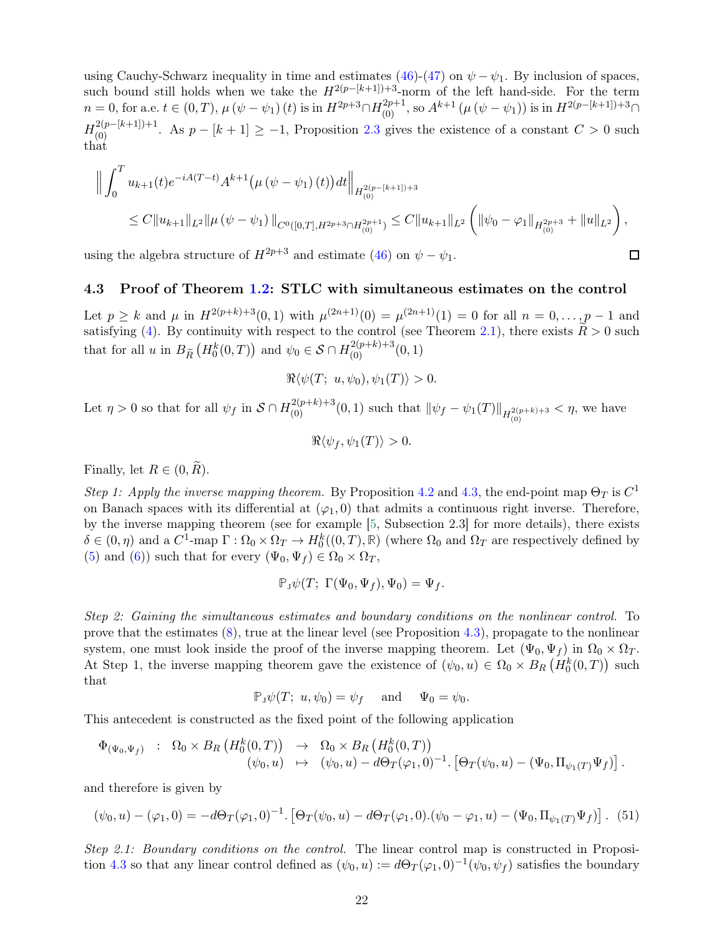using Cauchy-Schwarz inequality in time and estimates [\(46\)](#page-19-3)-[\(47\)](#page-19-0) on  $\psi - \psi_1$ . By inclusion of spaces, such bound still holds when we take the  $H^{2(p-[k+1])+3}$ -norm of the left hand-side. For the term  $n = 0$ , for a.e.  $t \in (0, T)$ ,  $\mu (\psi - \psi_1)(t)$  is in  $H^{2p+3} \cap H^{2p+1}_{(0)}$ , so  $A^{k+1} (\mu (\psi - \psi_1))$  is in  $H^{2(p-[k+1])+3} \cap$  $H_{(0)}^{2(p-[k+1])+1}$ . As  $p-[k+1] \ge -1$ , Proposition [2.3](#page-6-2) gives the existence of a constant  $C > 0$  such that

$$
\left\| \int_0^T u_{k+1}(t) e^{-iA(T-t)} A^{k+1} \left( \mu \left( \psi - \psi_1 \right)(t) \right) dt \right\|_{H^{2(p-[k+1])+3}_{(0)}} \leq C \|u_{k+1}\|_{L^2} \left( \|\psi_0 - \varphi_1\|_{H^{2p+3}_{(0)}} + \|u\|_{L^2} \right),
$$

 $\Box$ 

<span id="page-21-0"></span>using the algebra structure of  $H^{2p+3}$  and estimate [\(46\)](#page-19-3) on  $\psi - \psi_1$ .

#### 4.3 Proof of Theorem [1.2:](#page-2-1) STLC with simultaneous estimates on the control

Let  $p \ge k$  and  $\mu$  in  $H^{2(p+k)+3}(0,1)$  with  $\mu^{(2n+1)}(0) = \mu^{(2n+1)}(1) = 0$  for all  $n = 0, \ldots, p-1$  and satisfying [\(4\)](#page-2-3). By continuity with respect to the control (see Theorem [2.1\)](#page-5-2), there exists  $\widetilde{R} > 0$  such that for all u in  $B_{\tilde{R}}(H_0^k(0,T))$  and  $\psi_0 \in \mathcal{S} \cap H_{(0)}^{2(p+k)+3}(0,1)$ 

$$
\Re\langle\psi(T; u, \psi_0), \psi_1(T)\rangle > 0.
$$

Let  $\eta > 0$  so that for all  $\psi_f$  in  $S \cap H_{(0)}^{2(p+k)+3}(0,1)$  such that  $\|\psi_f - \psi_1(T)\|_{H_{(0)}^{2(p+k)+3}} < \eta$ , we have

$$
\Re\langle\psi_f,\psi_1(T)\rangle>0.
$$

Finally, let  $R \in (0, \widetilde{R})$ .

Step 1: Apply the inverse mapping theorem. By Proposition [4.2](#page-17-1) and [4.3,](#page-17-0) the end-point map  $\Theta_T$  is  $C^1$ on Banach spaces with its differential at  $(\varphi_1, 0)$  that admits a continuous right inverse. Therefore, by the inverse mapping theorem (see for example [\[5,](#page-27-0) Subsection 2.3] for more details), there exists  $\delta \in (0, \eta)$  and a  $C^1$ -map  $\Gamma : \Omega_0 \times \Omega_T \to H_0^k((0, T), \mathbb{R})$  (where  $\Omega_0$  and  $\Omega_T$  are respectively defined by [\(5\)](#page-3-1) and [\(6\)](#page-3-2)) such that for every  $(\Psi_0, \Psi_f) \in \Omega_0 \times \Omega_T$ ,

$$
\mathbb{P}_{J}\psi(T;\; \Gamma(\Psi_0,\Psi_f),\Psi_0)=\Psi_f.
$$

Step 2: Gaining the simultaneous estimates and boundary conditions on the nonlinear control. To prove that the estimates [\(8\)](#page-3-0), true at the linear level (see Proposition [4.3\)](#page-17-0), propagate to the nonlinear system, one must look inside the proof of the inverse mapping theorem. Let  $(\Psi_0, \Psi_f)$  in  $\Omega_0 \times \Omega_T$ . At Step 1, the inverse mapping theorem gave the existence of  $(\psi_0, u) \in \Omega_0 \times B_R(\check{H}_0^k(0,T))$  such that

$$
\mathbb{P}_{J}\psi(T; u, \psi_0) = \psi_f \quad \text{and} \quad \Psi_0 = \psi_0.
$$

This antecedent is constructed as the fixed point of the following application

$$
\begin{array}{rcl}\n\Phi_{(\Psi_0,\Psi_f)} & : & \Omega_0 \times B_R \left( H_0^k(0,T) \right) \quad \to \quad \Omega_0 \times B_R \left( H_0^k(0,T) \right) \\
& & (\psi_0,u) \quad \mapsto \quad (\psi_0,u) - d\Theta_T(\varphi_1,0)^{-1}.\left[ \Theta_T(\psi_0,u) - (\Psi_0,\Pi_{\psi_1(T)}\Psi_f) \right].\n\end{array}
$$

and therefore is given by

<span id="page-21-1"></span>
$$
(\psi_0, u) - (\varphi_1, 0) = -d\Theta_T(\varphi_1, 0)^{-1} \cdot \left[\Theta_T(\psi_0, u) - d\Theta_T(\varphi_1, 0) \cdot (\psi_0 - \varphi_1, u) - (\Psi_0, \Pi_{\psi_1(T)} \Psi_f)\right].
$$
 (51)

Step 2.1: Boundary conditions on the control. The linear control map is constructed in Proposi-tion [4.3](#page-17-0) so that any linear control defined as  $(\psi_0, u) := d\Theta_T(\varphi_1, 0)^{-1}(\psi_0, \psi_f)$  satisfies the boundary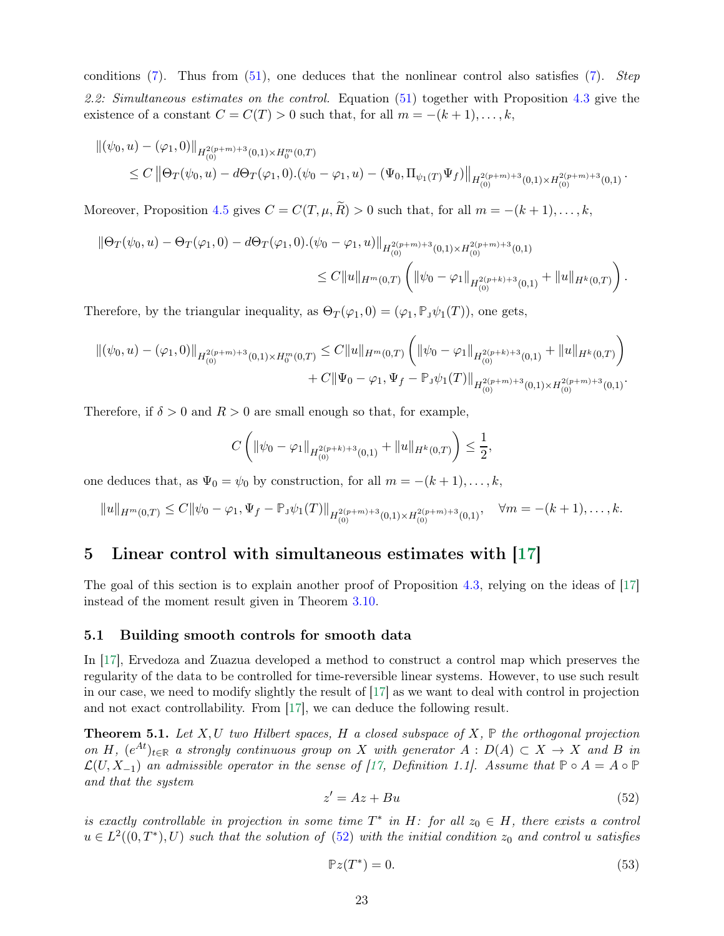conditions [\(7\)](#page-3-3). Thus from [\(51\)](#page-21-1), one deduces that the nonlinear control also satisfies [\(7\)](#page-3-3). Step 2.2: Simultaneous estimates on the control. Equation [\(51\)](#page-21-1) together with Proposition [4.3](#page-17-0) give the existence of a constant  $C = C(T) > 0$  such that, for all  $m = -(k+1), \ldots, k$ ,

$$
\begin{split} \left\|(\psi_0, u) - (\varphi_1, 0)\right\|_{H^{2(p+m)+3}_{(0)}}(0,1) \times H^m_0(0,T) \\ &\leq C\left\| \Theta_T(\psi_0, u) - d\Theta_T(\varphi_1, 0).(\psi_0 - \varphi_1, u) - (\Psi_0, \Pi_{\psi_1(T)} \Psi_f)\right\|_{H^{2(p+m)+3}_{(0)}}(0,1) \times H^{2(p+m)+3}_{(0)}(0,1) \end{split}.
$$

Moreover, Proposition [4.5](#page-18-3) gives  $C = C(T, \mu, \widetilde{R}) > 0$  such that, for all  $m = -(k+1), \ldots, k$ ,

$$
\|\Theta_T(\psi_0, u) - \Theta_T(\varphi_1, 0) - d\Theta_T(\varphi_1, 0) \cdot (\psi_0 - \varphi_1, u)\|_{H^{2(p+m)+3}_{(0)}(0, 1) \times H^{2(p+m)+3}_{(0)}}(0, 1)
$$
  

$$
\leq C \|u\|_{H^m(0,T)} \left( \|\psi_0 - \varphi_1\|_{H^{2(p+k)+3}_{(0)}} + \|u\|_{H^k(0,T)} \right).
$$

Therefore, by the triangular inequality, as  $\Theta_T(\varphi_1, 0) = (\varphi_1, \mathbb{P}_{J} \psi_1(T))$ , one gets,

$$
\begin{split} \left\|(\psi_0, u) - (\varphi_1, 0)\right\|_{H^{2(p+m)+3}_{(0)}}(0, 1) \times H^m_0(0, T) &\leq C \|u\|_{H^m(0, T)} \left( \|\psi_0 - \varphi_1\|_{H^{2(p+k)+3}_{(0)}}(0, 1) + \|u\|_{H^k(0, T)} \right) \\ &+ C \|\Psi_0 - \varphi_1, \Psi_f - \mathbb{P}_{\mathcal{I}} \psi_1(T)\|_{H^{2(p+m)+3}_{(0)}}(0, 1) \times H^{2(p+m)+3}_{(0)}(0, 1) . \end{split}
$$

Therefore, if  $\delta > 0$  and  $R > 0$  are small enough so that, for example,

$$
C\left(\|\psi_0-\varphi_1\|_{H^{2(p+k)+3}_{(0)}(0,1)}+\|u\|_{H^k(0,T)}\right)\leq \frac{1}{2},
$$

one deduces that, as  $\Psi_0 = \psi_0$  by construction, for all  $m = -(k+1), \ldots, k$ ,

$$
||u||_{H^m(0,T)} \leq C||\psi_0 - \varphi_1, \Psi_f - \mathbb{P}_J\psi_1(T)||_{H^{2(p+m)+3}_{(0)}(0,1)\times H^{2(p+m)+3}_{(0)}(0,1)}, \quad \forall m = -(k+1), \ldots, k.
$$

### <span id="page-22-0"></span>5 Linear control with simultaneous estimates with [\[17\]](#page-28-0)

<span id="page-22-1"></span>The goal of this section is to explain another proof of Proposition [4.3,](#page-17-0) relying on the ideas of [\[17\]](#page-28-0) instead of the moment result given in Theorem [3.10.](#page-15-0)

#### 5.1 Building smooth controls for smooth data

In [\[17\]](#page-28-0), Ervedoza and Zuazua developed a method to construct a control map which preserves the regularity of the data to be controlled for time-reversible linear systems. However, to use such result in our case, we need to modify slightly the result of [\[17\]](#page-28-0) as we want to deal with control in projection and not exact controllability. From [\[17\]](#page-28-0), we can deduce the following result.

<span id="page-22-4"></span>**Theorem 5.1.** Let  $X, U$  two Hilbert spaces, H a closed subspace of  $X, \mathbb{P}$  the orthogonal projection on H,  $(e^{At})_{t\in\mathbb{R}}$  a strongly continuous group on X with generator  $A: D(A) \subset X \to X$  and B in  $\mathcal{L}(U, X_{-1})$  an admissible operator in the sense of [\[17,](#page-28-0) Definition 1.1]. Assume that  $\mathbb{P} \circ A = A \circ \mathbb{P}$ and that the system

<span id="page-22-2"></span>
$$
z' = Az + Bu \tag{52}
$$

is exactly controllable in projection in some time  $T^*$  in  $H$ : for all  $z_0 \in H$ , there exists a control  $u \in L^2((0,T^*),U)$  such that the solution of  $(52)$  with the initial condition  $z_0$  and control u satisfies

<span id="page-22-3"></span>
$$
\mathbb{P}z(T^*) = 0.\tag{53}
$$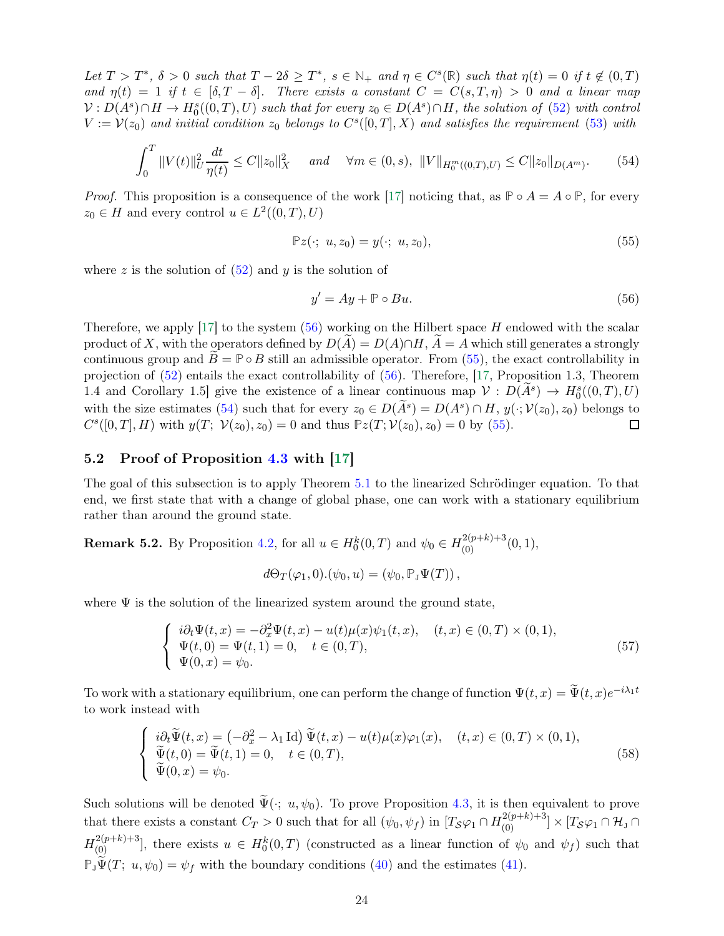Let  $T > T^*$ ,  $\delta > 0$  such that  $T - 2\delta \geq T^*$ ,  $s \in \mathbb{N}_+$  and  $\eta \in C^s(\mathbb{R})$  such that  $\eta(t) = 0$  if  $t \notin (0, T)$ and  $\eta(t) = 1$  if  $t \in [\delta, T - \delta]$ . There exists a constant  $C = C(s, T, \eta) > 0$  and a linear map  $V: D(A<sup>s</sup>) \cap H \to H_0<sup>s</sup>((0,T), U)$  such that for every  $z_0 \in D(A<sup>s</sup>) \cap H$ , the solution of [\(52\)](#page-22-2) with control  $V := \mathcal{V}(z_0)$  and initial condition  $z_0$  belongs to  $C<sup>s</sup>([0,T], X)$  and satisfies the requirement [\(53\)](#page-22-3) with

<span id="page-23-3"></span>
$$
\int_0^T \|V(t)\|_{U}^2 \frac{dt}{\eta(t)} \le C \|z_0\|_X^2 \quad \text{and} \quad \forall m \in (0, s), \ \|V\|_{H_0^m((0, T), U)} \le C \|z_0\|_{D(A^m)}.
$$
 (54)

*Proof.* This proposition is a consequence of the work [\[17\]](#page-28-0) noticing that, as  $\mathbb{P} \circ A = A \circ \mathbb{P}$ , for every  $z_0 \in H$  and every control  $u \in L^2((0,T),U)$ 

<span id="page-23-2"></span>
$$
\mathbb{P}z(\cdot; u, z_0) = y(\cdot; u, z_0),\tag{55}
$$

where z is the solution of  $(52)$  and y is the solution of

<span id="page-23-1"></span>
$$
y' = Ay + \mathbb{P} \circ Bu. \tag{56}
$$

Therefore, we apply [\[17\]](#page-28-0) to the system  $(56)$  working on the Hilbert space H endowed with the scalar product of X, with the operators defined by  $D(A) = D(A) \cap H$ ,  $A = A$  which still generates a strongly continuous group and  $B = \mathbb{P} \circ B$  still an admissible operator. From [\(55\)](#page-23-2), the exact controllability in projection of [\(52\)](#page-22-2) entails the exact controllability of [\(56\)](#page-23-1). Therefore, [\[17,](#page-28-0) Proposition 1.3, Theorem 1.4 and Corollary 1.5] give the existence of a linear continuous map  $\mathcal{V}: D(\tilde{A}^s) \to H_0^s((0,T),U)$ with the size estimates [\(54\)](#page-23-3) such that for every  $z_0 \in D(A^s) = D(A^s) \cap H$ ,  $y(\cdot; V(z_0), z_0)$  belongs to  $C^{s}([0,T], H)$  with  $y(T; \mathcal{V}(z_0), z_0) = 0$  and thus  $\mathbb{P}z(T; \mathcal{V}(z_0), z_0) = 0$  by [\(55\)](#page-23-2).

#### <span id="page-23-0"></span>5.2 Proof of Proposition [4.3](#page-17-0) with [\[17\]](#page-28-0)

The goal of this subsection is to apply Theorem [5.1](#page-22-4) to the linearized Schrödinger equation. To that end, we first state that with a change of global phase, one can work with a stationary equilibrium rather than around the ground state.

<span id="page-23-5"></span>**Remark 5.2.** By Proposition [4.2,](#page-17-1) for all  $u \in H_0^k(0,T)$  and  $\psi_0 \in H_{(0)}^{2(p+k)+3}(0,1)$ ,

$$
d\Theta_T(\varphi_1,0).(\psi_0,u)=(\psi_0,\mathbb{P}_J\Psi(T)),
$$

where  $\Psi$  is the solution of the linearized system around the ground state,

$$
\begin{cases}\n i\partial_t \Psi(t,x) = -\partial_x^2 \Psi(t,x) - u(t)\mu(x)\psi_1(t,x), & (t,x) \in (0,T) \times (0,1), \\
 \Psi(t,0) = \Psi(t,1) = 0, & t \in (0,T), \\
 \Psi(0,x) = \psi_0.\n\end{cases}
$$
\n(57)

To work with a stationary equilibrium, one can perform the change of function  $\Psi(t,x) = \Psi(t,x)e^{-i\lambda_1 t}$ to work instead with

<span id="page-23-4"></span>
$$
\begin{cases}\n\begin{aligned}\n\,\tilde{v}(\tilde{\Psi}(t,x)) &= \left(-\partial_x^2 - \lambda_1 \operatorname{Id}\right) \widetilde{\Psi}(t,x) - u(t)\mu(x)\varphi_1(x), \quad (t,x) \in (0,T) \times (0,1), \\
\widetilde{\Psi}(t,0) &= \widetilde{\Psi}(t,1) = 0, \quad t \in (0,T), \\
\widetilde{\Psi}(0,x) &= \psi_0.\n\end{aligned}\n\end{cases} \tag{58}
$$

Such solutions will be denoted  $\widetilde{\Psi}(\cdot; u, \psi_0)$ . To prove Proposition [4.3,](#page-17-0) it is then equivalent to prove that there exists a constant  $C_T > 0$  such that for all  $(\psi_0, \psi_f)$  in  $[T_S\varphi_1 \cap H_{(0)}^{2(p+k)+3}] \times [T_S\varphi_1 \cap H_{J} \cap$  $H^{2(p+k)+3}_{(0)}$ , there exists  $u \in H^k_0(0,T)$  (constructed as a linear function of  $\psi_0$  and  $\psi_f$ ) such that  $\mathbb{P}_{J}\tilde{\Psi}(T; u, \psi_0) = \psi_f$  with the boundary conditions [\(40\)](#page-17-3) and the estimates [\(41\)](#page-17-4).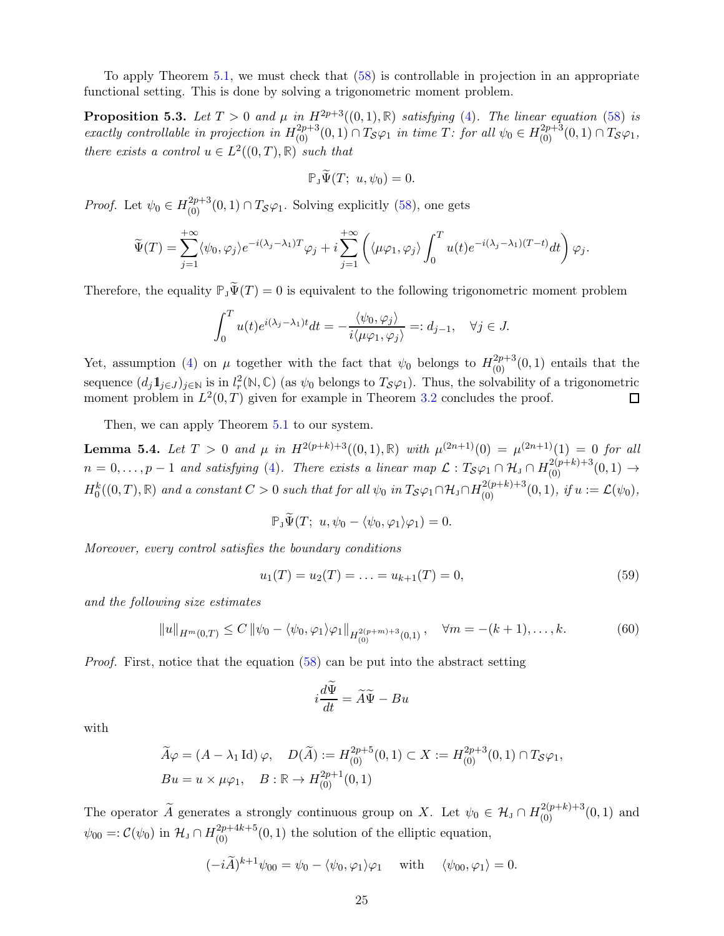<span id="page-24-0"></span>To apply Theorem [5.1,](#page-22-4) we must check that [\(58\)](#page-23-4) is controllable in projection in an appropriate functional setting. This is done by solving a trigonometric moment problem.

**Proposition 5.3.** Let  $T > 0$  and  $\mu$  in  $H^{2p+3}((0,1), \mathbb{R})$  satisfying [\(4\)](#page-2-3). The linear equation [\(58\)](#page-23-4) is exactly controllable in projection in  $H^{2p+3}_{(0)}(0,1) \cap T_{\mathcal{S}}\varphi_1$  in time T: for all  $\psi_0 \in H^{2p+3}_{(0)}(0,1) \cap T_{\mathcal{S}}\varphi_1$ , there exists a control  $u \in L^2((0,T),\mathbb{R})$  such that

$$
\mathbb{P}_{J}\widetilde{\Psi}(T; u, \psi_0)=0.
$$

*Proof.* Let  $\psi_0 \in H_{(0)}^{2p+3}(0,1) \cap T_{\mathcal{S}}\varphi_1$ . Solving explicitly [\(58\)](#page-23-4), one gets

$$
\widetilde{\Psi}(T) = \sum_{j=1}^{+\infty} \langle \psi_0, \varphi_j \rangle e^{-i(\lambda_j - \lambda_1)T} \varphi_j + i \sum_{j=1}^{+\infty} \left( \langle \mu \varphi_1, \varphi_j \rangle \int_0^T u(t) e^{-i(\lambda_j - \lambda_1)(T-t)} dt \right) \varphi_j.
$$

Therefore, the equality  $\mathbb{P}_{J}\widetilde{\Psi}(T) = 0$  is equivalent to the following trigonometric moment problem

$$
\int_0^T u(t)e^{i(\lambda_j - \lambda_1)t}dt = -\frac{\langle \psi_0, \varphi_j \rangle}{i \langle \mu \varphi_1, \varphi_j \rangle} =: d_{j-1}, \quad \forall j \in J.
$$

Yet, assumption [\(4\)](#page-2-3) on  $\mu$  together with the fact that  $\psi_0$  belongs to  $H^{2p+3}_{(0)}(0,1)$  entails that the sequence  $(d_j 1_{j \in J})_{j \in \mathbb{N}}$  is in  $l_r^2(\mathbb{N}, \mathbb{C})$  (as  $\psi_0$  belongs to  $T_{\mathcal{S}}\varphi_1$ ). Thus, the solvability of a trigonometric moment problem in  $L^2(0,T)$  given for example in Theorem [3.2](#page-9-4) concludes the proof. □

<span id="page-24-3"></span>Then, we can apply Theorem  $5.1$  to our system.

**Lemma 5.4.** Let  $T > 0$  and  $\mu$  in  $H^{2(p+k)+3}((0,1), \mathbb{R})$  with  $\mu^{(2n+1)}(0) = \mu^{(2n+1)}(1) = 0$  for all  $n=0,\ldots,p-1$  and satisfying [\(4\)](#page-2-3). There exists a linear map  $\mathcal{L}: T_{\mathcal{S}}\varphi_1 \cap \mathcal{H}_{J} \cap H^{2(p+k)+3}_{(0)}(0,1) \rightarrow$  $H_0^k((0,T),\mathbb{R})$  and a constant  $C>0$  such that for all  $\psi_0$  in  $T_{\mathcal{S}}\varphi_1 \cap H_0^{2(p+k)+3}(0,1)$ , if  $u:=\mathcal{L}(\psi_0)$ ,

$$
\mathbb{P}_{J}\widetilde{\Psi}(T; u, \psi_0 - \langle \psi_0, \varphi_1 \rangle \varphi_1) = 0.
$$

Moreover, every control satisfies the boundary conditions

<span id="page-24-1"></span>
$$
u_1(T) = u_2(T) = \ldots = u_{k+1}(T) = 0,\t\t(59)
$$

and the following size estimates

<span id="page-24-2"></span>
$$
||u||_{H^m(0,T)} \le C ||\psi_0 - \langle \psi_0, \varphi_1 \rangle \varphi_1||_{H^{2(p+m)+3}_{(0)}(0,1)}, \quad \forall m = -(k+1), \dots, k. \tag{60}
$$

Proof. First, notice that the equation [\(58\)](#page-23-4) can be put into the abstract setting

$$
i\frac{d\tilde{\Psi}}{dt} = \tilde{A}\tilde{\Psi} - Bu
$$

with

$$
\widetilde{A}\varphi = (A - \lambda_1 \operatorname{Id}) \varphi, \quad D(\widetilde{A}) := H_{(0)}^{2p+5}(0,1) \subset X := H_{(0)}^{2p+3}(0,1) \cap T_{\mathcal{S}}\varphi_1,
$$
  
\n
$$
Bu = u \times \mu \varphi_1, \quad B : \mathbb{R} \to H_{(0)}^{2p+1}(0,1)
$$

The operator  $\widetilde{A}$  generates a strongly continuous group on X. Let  $\psi_0 \in \mathcal{H}_J \cap H_{(0)}^{2(p+k)+3}(0,1)$  and  $\psi_{00} =: C(\psi_0)$  in  $\mathcal{H}_J \cap H_{(0)}^{2p+4k+5}(0,1)$  the solution of the elliptic equation,

$$
(-i\widetilde{A})^{k+1}\psi_{00} = \psi_0 - \langle \psi_0, \varphi_1 \rangle \varphi_1 \quad \text{with} \quad \langle \psi_{00}, \varphi_1 \rangle = 0.
$$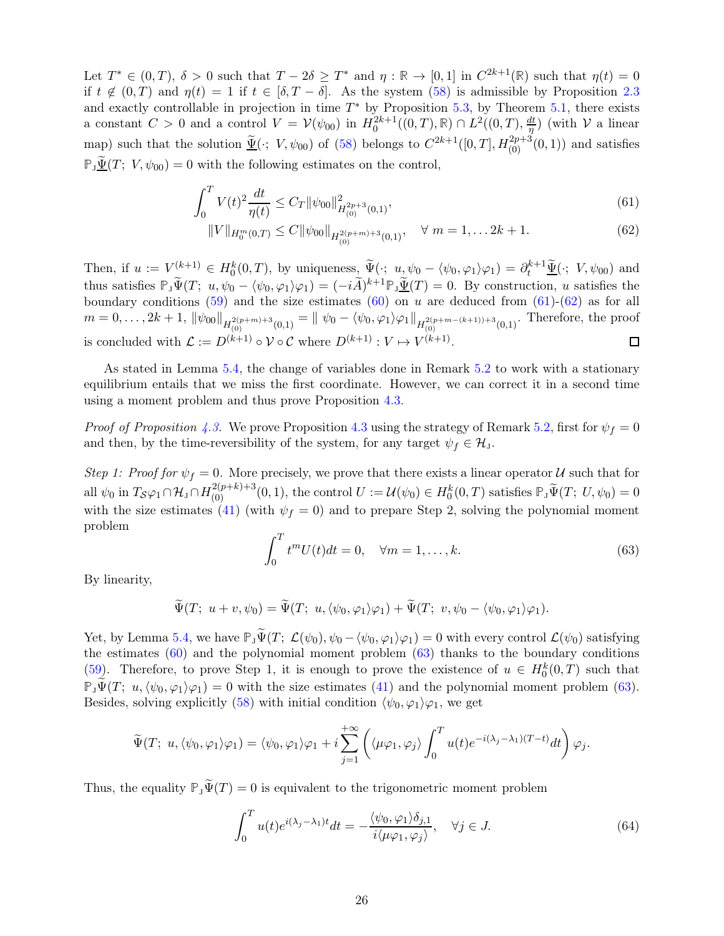Let  $T^* \in (0,T)$ ,  $\delta > 0$  such that  $T - 2\delta \geq T^*$  and  $\eta : \mathbb{R} \to [0,1]$  in  $C^{2k+1}(\mathbb{R})$  such that  $\eta(t) = 0$ if  $t \notin (0,T)$  and  $\eta(t) = 1$  if  $t \in [\delta, T - \delta]$ . As the system [\(58\)](#page-23-4) is admissible by Proposition [2.3](#page-6-2) and exactly controllable in projection in time  $T^*$  by Proposition [5.3,](#page-24-0) by Theorem [5.1,](#page-22-4) there exists a constant  $C > 0$  and a control  $V = V(\psi_{00})$  in  $H_0^{2k+1}((0,T), \mathbb{R}) \cap L^2((0,T), \frac{dt}{\eta})$  $\frac{dt}{\eta}$ ) (with  $\mathcal V$  a linear map) such that the solution  $\underline{\tilde{\Psi}}(\cdot; V, \psi_{00})$  of [\(58\)](#page-23-4) belongs to  $C^{2k+1}([0,T], H^{2p+3}_{(0)}(0,1))$  and satisfies  $\mathbb{P}_J \underline{\tilde{\Psi}}(T; V, \psi_{00}) = 0$  with the following estimates on the control,

$$
\int_0^T V(t)^2 \frac{dt}{\eta(t)} \le C_T \|\psi_{00}\|_{H^{2p+3}_{(0)}(0,1)}^2,\tag{61}
$$

<span id="page-25-1"></span><span id="page-25-0"></span>
$$
||V||_{H_0^m(0,T)} \le C||\psi_{00}||_{H_{(0)}^{2(p+m)+3}(0,1)}, \quad \forall \ m = 1, \dots 2k+1. \tag{62}
$$

Then, if  $u := V^{(k+1)} \in H_0^k(0,T)$ , by uniqueness,  $\widetilde{\Psi}(\cdot; u, \psi_0 - \langle \psi_0, \varphi_1 \rangle \varphi_1) = \partial_t^{k+1} \widetilde{\Psi}(\cdot; V, \psi_{00})$  and thus satisfies  $\mathbb{P}_{J}\tilde{\Psi}(T; u, \psi_0 - \langle \psi_0, \varphi_1 \rangle \varphi_1) = (-i\widetilde{A})^{k+1} \mathbb{P}_{J}\underline{\tilde{\Psi}}(T) = 0$ . By construction, u satisfies the boundary conditions  $(59)$  and the size estimates  $(60)$  on u are deduced from  $(61)-(62)$  $(61)-(62)$  as for all  $m = 0, \ldots, 2k + 1, ||\psi_{00}||_{H^{2(p+m)+3}_{(0)}(0,1)} = || \psi_0 - \langle \psi_0, \varphi_1 \rangle \varphi_1 ||_{H^{2(p+m-(k+1))+3}_{(0,1)}}$ . Therefore, the proof is concluded with  $\mathcal{L} := D^{(k+1)} \circ \mathcal{V} \circ \mathcal{C}$  where  $D^{(k+1)} : V \mapsto V^{(k+1)}$ .

As stated in Lemma [5.4,](#page-24-3) the change of variables done in Remark [5.2](#page-23-5) to work with a stationary equilibrium entails that we miss the first coordinate. However, we can correct it in a second time using a moment problem and thus prove Proposition [4.3.](#page-17-0)

*Proof of Proposition [4.3.](#page-17-0)* We prove Proposition [4.3](#page-17-0) using the strategy of Remark [5.2,](#page-23-5) first for  $\psi_f = 0$ and then, by the time-reversibility of the system, for any target  $\psi_f \in \mathcal{H}_J$ .

Step 1: Proof for  $\psi_f = 0$ . More precisely, we prove that there exists a linear operator U such that for all  $\psi_0$  in  $T_{\mathcal{S}}\varphi_1 \cap \mathcal{H}_J \cap H_{(0)}^{2(p+k)+3}(0,1)$ , the control  $U := \mathcal{U}(\psi_0) \in H_0^k(0,T)$  satisfies  $\mathbb{P}_J \widetilde{\Psi}(T; U, \psi_0) = 0$ with the size estimates [\(41\)](#page-17-4) (with  $\psi_f = 0$ ) and to prepare Step 2, solving the polynomial moment problem

<span id="page-25-2"></span>
$$
\int_0^T t^m U(t)dt = 0, \quad \forall m = 1, \dots, k. \tag{63}
$$

By linearity,

$$
\widetilde{\Psi}(T; u+v,\psi_0)=\widetilde{\Psi}(T; u,\langle \psi_0,\varphi_1\rangle\varphi_1)+\widetilde{\Psi}(T; v,\psi_0-\langle \psi_0,\varphi_1\rangle\varphi_1).
$$

Yet, by Lemma [5.4,](#page-24-3) we have  $\mathbb{P}_{J}\tilde{\Psi}(T; \mathcal{L}(\psi_0), \psi_0 - \langle \psi_0, \varphi_1 \rangle \varphi_1) = 0$  with every control  $\mathcal{L}(\psi_0)$  satisfying the estimates  $(60)$  and the polynomial moment problem  $(63)$  thanks to the boundary conditions [\(59\)](#page-24-1). Therefore, to prove Step 1, it is enough to prove the existence of  $u \in H_0^k(0,T)$  such that  $\mathbb{P}_{J}\widetilde{\Psi}(T; u,\langle\psi_0,\varphi_1\rangle\varphi_1) = 0$  with the size estimates [\(41\)](#page-17-4) and the polynomial moment problem [\(63\)](#page-25-2). Besides, solving explicitly [\(58\)](#page-23-4) with initial condition  $\langle \psi_0, \varphi_1 \rangle \varphi_1$ , we get

$$
\widetilde{\Psi}(T; u, \langle \psi_0, \varphi_1 \rangle \varphi_1) = \langle \psi_0, \varphi_1 \rangle \varphi_1 + i \sum_{j=1}^{+\infty} \left( \langle \mu \varphi_1, \varphi_j \rangle \int_0^T u(t) e^{-i(\lambda_j - \lambda_1)(T-t)} dt \right) \varphi_j.
$$

Thus, the equality  $\mathbb{P}_{1}\widetilde{\Psi}(T) = 0$  is equivalent to the trigonometric moment problem

<span id="page-25-3"></span>
$$
\int_0^T u(t)e^{i(\lambda_j - \lambda_1)t}dt = -\frac{\langle \psi_0, \varphi_1 \rangle \delta_{j,1}}{i \langle \mu \varphi_1, \varphi_j \rangle}, \quad \forall j \in J.
$$
 (64)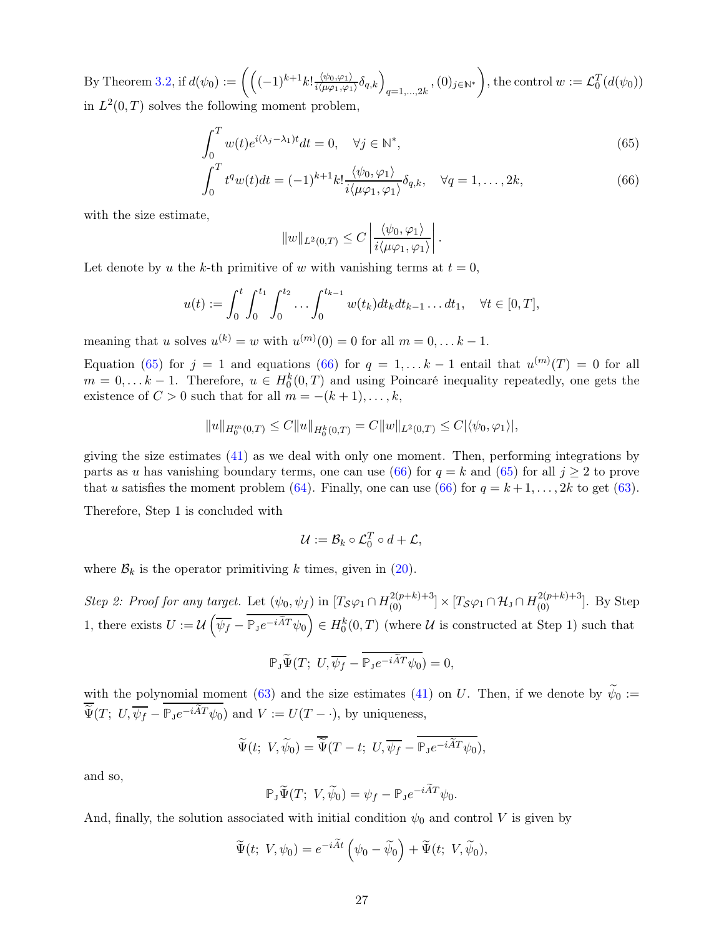By Theorem [3.2,](#page-9-4) if  $d(\psi_0) := \left( \left( (-1)^{k+1} k! \frac{\langle \psi_0, \varphi_1 \rangle}{i \langle \mu \varphi_1, \varphi_1 \rangle} \right) \right)$  $\frac{\langle \psi_0, \varphi_1 \rangle}{i \langle \mu \varphi_1, \varphi_1 \rangle} \delta_{q,k} \Big)_{q=1,...,2k}$  ,  $(0)_{j \in \mathbb{N}^*}$  $\setminus$ , the control  $w := \mathcal{L}_0^T(d(\psi_0))$ in  $L^2(0,T)$  solves the following moment problem,

$$
\int_0^T w(t)e^{i(\lambda_j - \lambda_1)t} dt = 0, \quad \forall j \in \mathbb{N}^*,
$$
\n(65)

$$
\int_0^T t^q w(t)dt = (-1)^{k+1} k! \frac{\langle \psi_0, \varphi_1 \rangle}{i \langle \mu \varphi_1, \varphi_1 \rangle} \delta_{q,k}, \quad \forall q = 1, \dots, 2k,
$$
\n(66)

with the size estimate,

<span id="page-26-1"></span><span id="page-26-0"></span>
$$
||w||_{L^2(0,T)} \leq C \left| \frac{\langle \psi_0, \varphi_1 \rangle}{i \langle \mu \varphi_1, \varphi_1 \rangle} \right|.
$$

Let denote by u the k-th primitive of w with vanishing terms at  $t = 0$ ,

$$
u(t) := \int_0^t \int_0^{t_1} \int_0^{t_2} \cdots \int_0^{t_{k-1}} w(t_k) dt_k dt_{k-1} \dots dt_1, \quad \forall t \in [0, T],
$$

meaning that u solves  $u^{(k)} = w$  with  $u^{(m)}(0) = 0$  for all  $m = 0, \ldots k - 1$ .

Equation [\(65\)](#page-26-0) for  $j = 1$  and equations [\(66\)](#page-26-1) for  $q = 1, \ldots k - 1$  entail that  $u^{(m)}(T) = 0$  for all  $m = 0, \ldots k - 1$ . Therefore,  $u \in H_0^k(0,T)$  and using Poincaré inequality repeatedly, one gets the existence of  $C > 0$  such that for all  $m = -(k+1), \ldots, k$ ,

$$
||u||_{H_0^m(0,T)} \leq C||u||_{H_0^k(0,T)} = C||w||_{L^2(0,T)} \leq C|\langle \psi_0, \varphi_1 \rangle|,
$$

giving the size estimates  $(41)$  as we deal with only one moment. Then, performing integrations by parts as u has vanishing boundary terms, one can use [\(66\)](#page-26-1) for  $q = k$  and [\(65\)](#page-26-0) for all  $j \geq 2$  to prove that u satisfies the moment problem [\(64\)](#page-25-3). Finally, one can use [\(66\)](#page-26-1) for  $q = k+1, \ldots, 2k$  to get [\(63\)](#page-25-2).

Therefore, Step 1 is concluded with

$$
\mathcal{U} := \mathcal{B}_k \circ \mathcal{L}_0^T \circ d + \mathcal{L},
$$

where  $\mathcal{B}_k$  is the operator primitiving k times, given in [\(20\)](#page-10-3).

Step 2: Proof for any target. Let  $(\psi_0, \psi_f)$  in  $[T_S\varphi_1 \cap H_{(0)}^{2(p+k)+3}] \times [T_S\varphi_1 \cap H_{J} \cap H_{(0)}^{2(p+k)+3}]$ . By Step 1, there exists  $U := \mathcal{U}\left(\overline{\psi_f} - \overline{\mathbb{P}_J e^{-i\widetilde{A}T}\psi_0}\right) \in H_0^k(0,T)$  (where  $\mathcal U$  is constructed at Step 1) such that

$$
\mathbb{P}_{\mathbf{J}}\widetilde{\Psi}(T; U, \overline{\psi_f} - \overline{\mathbb{P}_{\mathbf{J}}e^{-i\widetilde{A}T}\psi_0}) = 0,
$$

with the polynomial moment [\(63\)](#page-25-2) and the size estimates [\(41\)](#page-17-4) on U. Then, if we denote by  $\psi_0 :=$  $\overline{\widetilde{\Psi}}(T; U, \overline{\psi_f} - \overline{\mathbb{P}_J e^{-i\widetilde{A}T}\psi_0})$  and  $V := U(T - \cdot)$ , by uniqueness,

$$
\widetilde{\Psi}(t; V, \widetilde{\psi}_0) = \overline{\widetilde{\Psi}}(T-t; U, \overline{\psi_f} - \overline{\mathbb{P}_J e^{-i\widetilde{A}T}\psi_0}),
$$

and so,

$$
\mathbb{P}_{J}\widetilde{\Psi}(T; V, \widetilde{\psi}_{0}) = \psi_{f} - \mathbb{P}_{J}e^{-i\widetilde{A}T}\psi_{0}.
$$

And, finally, the solution associated with initial condition  $\psi_0$  and control V is given by

$$
\widetilde{\Psi}(t; V, \psi_0) = e^{-i\widetilde{A}t} \left( \psi_0 - \widetilde{\psi}_0 \right) + \widetilde{\Psi}(t; V, \widetilde{\psi}_0),
$$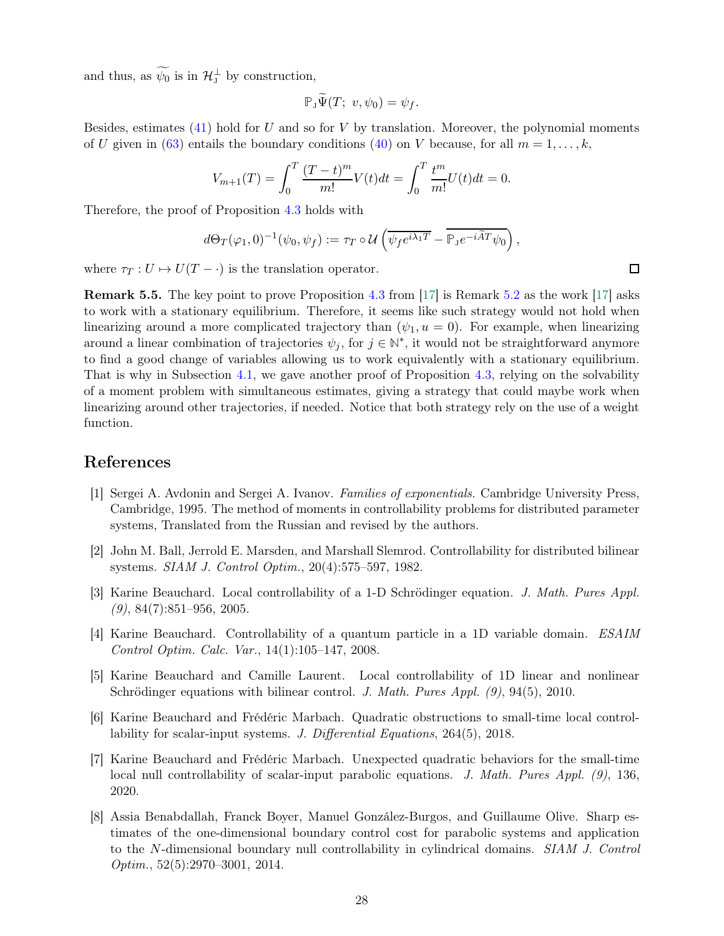and thus, as  $\psi_0$  is in  $\mathcal{H}_J^{\perp}$  by construction,

$$
\mathbb{P}_{J}\widetilde{\Psi}(T;\ v,\psi_{0})=\psi_{f}.
$$

Besides, estimates  $(41)$  hold for U and so for V by translation. Moreover, the polynomial moments of U given in [\(63\)](#page-25-2) entails the boundary conditions [\(40\)](#page-17-3) on V because, for all  $m = 1, \ldots, k$ ,

$$
V_{m+1}(T) = \int_0^T \frac{(T-t)^m}{m!} V(t)dt = \int_0^T \frac{t^m}{m!} U(t)dt = 0.
$$

Therefore, the proof of Proposition [4.3](#page-17-0) holds with

$$
d\Theta_T(\varphi_1,0)^{-1}(\psi_0,\psi_f) := \tau_T \circ \mathcal{U}\left(\overline{\psi_f e^{i\lambda_1 T}} - \overline{\mathbb{P}_J e^{-i\widetilde{A}T}\psi_0}\right),
$$

where  $\tau_T : U \mapsto U(T - \cdot)$  is the translation operator.

**Remark 5.5.** The key point to prove Proposition [4.3](#page-17-0) from  $|17|$  is Remark [5.2](#page-23-5) as the work  $|17|$  asks to work with a stationary equilibrium. Therefore, it seems like such strategy would not hold when linearizing around a more complicated trajectory than  $(\psi_1, u = 0)$ . For example, when linearizing around a linear combination of trajectories  $\psi_j$ , for  $j \in \mathbb{N}^*$ , it would not be straightforward anymore to find a good change of variables allowing us to work equivalently with a stationary equilibrium. That is why in Subsection [4.1,](#page-16-1) we gave another proof of Proposition [4.3,](#page-17-0) relying on the solvability of a moment problem with simultaneous estimates, giving a strategy that could maybe work when linearizing around other trajectories, if needed. Notice that both strategy rely on the use of a weight function.

### <span id="page-27-6"></span>References

- [1] Sergei A. Avdonin and Sergei A. Ivanov. Families of exponentials. Cambridge University Press, Cambridge, 1995. The method of moments in controllability problems for distributed parameter systems, Translated from the Russian and revised by the authors.
- <span id="page-27-1"></span>[2] John M. Ball, Jerrold E. Marsden, and Marshall Slemrod. Controllability for distributed bilinear systems. SIAM J. Control Optim., 20(4):575–597, 1982.
- <span id="page-27-3"></span><span id="page-27-2"></span>[3] Karine Beauchard. Local controllability of a 1-D Schrödinger equation. J. Math. Pures Appl.  $(9)$ , 84 $(7)$ :851–956, 2005.
- [4] Karine Beauchard. Controllability of a quantum particle in a 1D variable domain. ESAIM Control Optim. Calc. Var., 14(1):105–147, 2008.
- <span id="page-27-0"></span>[5] Karine Beauchard and Camille Laurent. Local controllability of 1D linear and nonlinear Schrödinger equations with bilinear control. J. Math. Pures Appl. (9), 94(5), 2010.
- <span id="page-27-4"></span>[6] Karine Beauchard and Frédéric Marbach. Quadratic obstructions to small-time local controllability for scalar-input systems. J. Differential Equations, 264(5), 2018.
- <span id="page-27-5"></span>[7] Karine Beauchard and Frédéric Marbach. Unexpected quadratic behaviors for the small-time local null controllability of scalar-input parabolic equations. J. Math. Pures Appl. (9), 136, 2020.
- <span id="page-27-7"></span>[8] Assia Benabdallah, Franck Boyer, Manuel González-Burgos, and Guillaume Olive. Sharp estimates of the one-dimensional boundary control cost for parabolic systems and application to the N-dimensional boundary null controllability in cylindrical domains. SIAM J. Control Optim., 52(5):2970–3001, 2014.

 $\Box$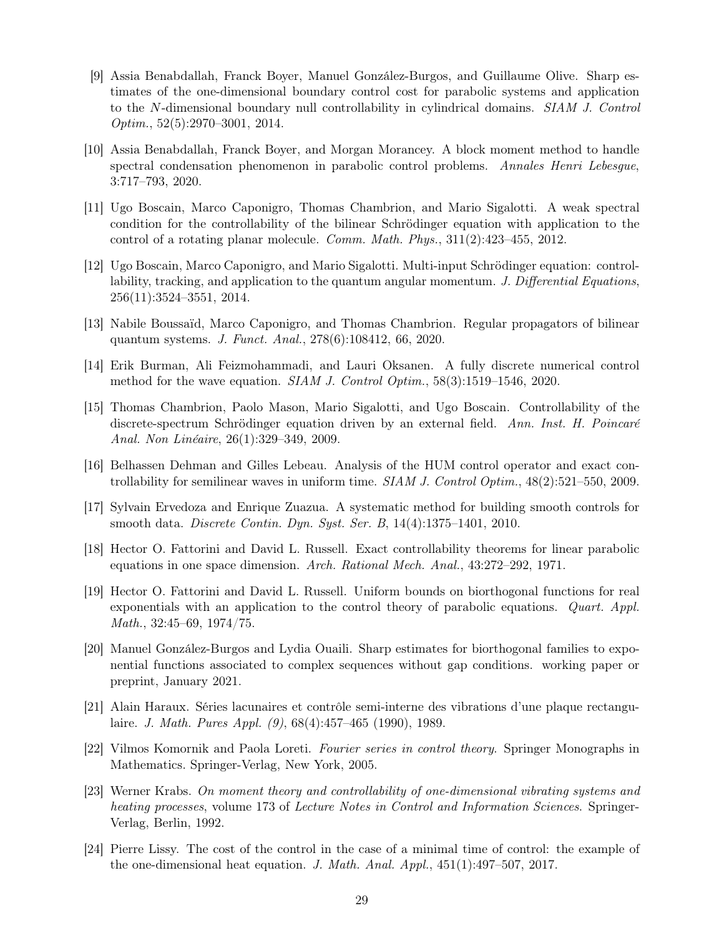- <span id="page-28-13"></span>[9] Assia Benabdallah, Franck Boyer, Manuel González-Burgos, and Guillaume Olive. Sharp estimates of the one-dimensional boundary control cost for parabolic systems and application to the N-dimensional boundary null controllability in cylindrical domains. SIAM J. Control Optim., 52(5):2970–3001, 2014.
- <span id="page-28-15"></span>[10] Assia Benabdallah, Franck Boyer, and Morgan Morancey. A block moment method to handle spectral condensation phenomenon in parabolic control problems. Annales Henri Lebesgue, 3:717–793, 2020.
- <span id="page-28-3"></span>[11] Ugo Boscain, Marco Caponigro, Thomas Chambrion, and Mario Sigalotti. A weak spectral condition for the controllability of the bilinear Schrödinger equation with application to the control of a rotating planar molecule. Comm. Math. Phys., 311(2):423–455, 2012.
- <span id="page-28-4"></span>[12] Ugo Boscain, Marco Caponigro, and Mario Sigalotti. Multi-input Schrödinger equation: controllability, tracking, and application to the quantum angular momentum. J. Differential Equations, 256(11):3524–3551, 2014.
- <span id="page-28-6"></span><span id="page-28-1"></span>[13] Nabile Boussaïd, Marco Caponigro, and Thomas Chambrion. Regular propagators of bilinear quantum systems. J. Funct. Anal., 278(6):108412, 66, 2020.
- [14] Erik Burman, Ali Feizmohammadi, and Lauri Oksanen. A fully discrete numerical control method for the wave equation. SIAM J. Control Optim., 58(3):1519–1546, 2020.
- <span id="page-28-2"></span>[15] Thomas Chambrion, Paolo Mason, Mario Sigalotti, and Ugo Boscain. Controllability of the discrete-spectrum Schrödinger equation driven by an external field. Ann. Inst. H. Poincaré Anal. Non Linéaire, 26(1):329–349, 2009.
- <span id="page-28-5"></span><span id="page-28-0"></span>[16] Belhassen Dehman and Gilles Lebeau. Analysis of the HUM control operator and exact controllability for semilinear waves in uniform time.  $SIAM J.$  Control Optim.,  $48(2):521-550$ , 2009.
- <span id="page-28-7"></span>[17] Sylvain Ervedoza and Enrique Zuazua. A systematic method for building smooth controls for smooth data. Discrete Contin. Dyn. Syst. Ser. B, 14(4):1375–1401, 2010.
- <span id="page-28-8"></span>[18] Hector O. Fattorini and David L. Russell. Exact controllability theorems for linear parabolic equations in one space dimension. Arch. Rational Mech. Anal., 43:272–292, 1971.
- [19] Hector O. Fattorini and David L. Russell. Uniform bounds on biorthogonal functions for real exponentials with an application to the control theory of parabolic equations. Quart. Appl. Math., 32:45–69, 1974/75.
- <span id="page-28-14"></span>[20] Manuel González-Burgos and Lydia Ouaili. Sharp estimates for biorthogonal families to exponential functions associated to complex sequences without gap conditions. working paper or preprint, January 2021.
- <span id="page-28-11"></span>[21] Alain Haraux. Séries lacunaires et contrôle semi-interne des vibrations d'une plaque rectangulaire. J. Math. Pures Appl. (9), 68(4):457–465 (1990), 1989.
- <span id="page-28-10"></span>[22] Vilmos Komornik and Paola Loreti. Fourier series in control theory. Springer Monographs in Mathematics. Springer-Verlag, New York, 2005.
- <span id="page-28-9"></span>[23] Werner Krabs. On moment theory and controllability of one-dimensional vibrating systems and heating processes, volume 173 of Lecture Notes in Control and Information Sciences. Springer-Verlag, Berlin, 1992.
- <span id="page-28-12"></span>[24] Pierre Lissy. The cost of the control in the case of a minimal time of control: the example of the one-dimensional heat equation. J. Math. Anal. Appl.,  $451(1):497-507$ , 2017.